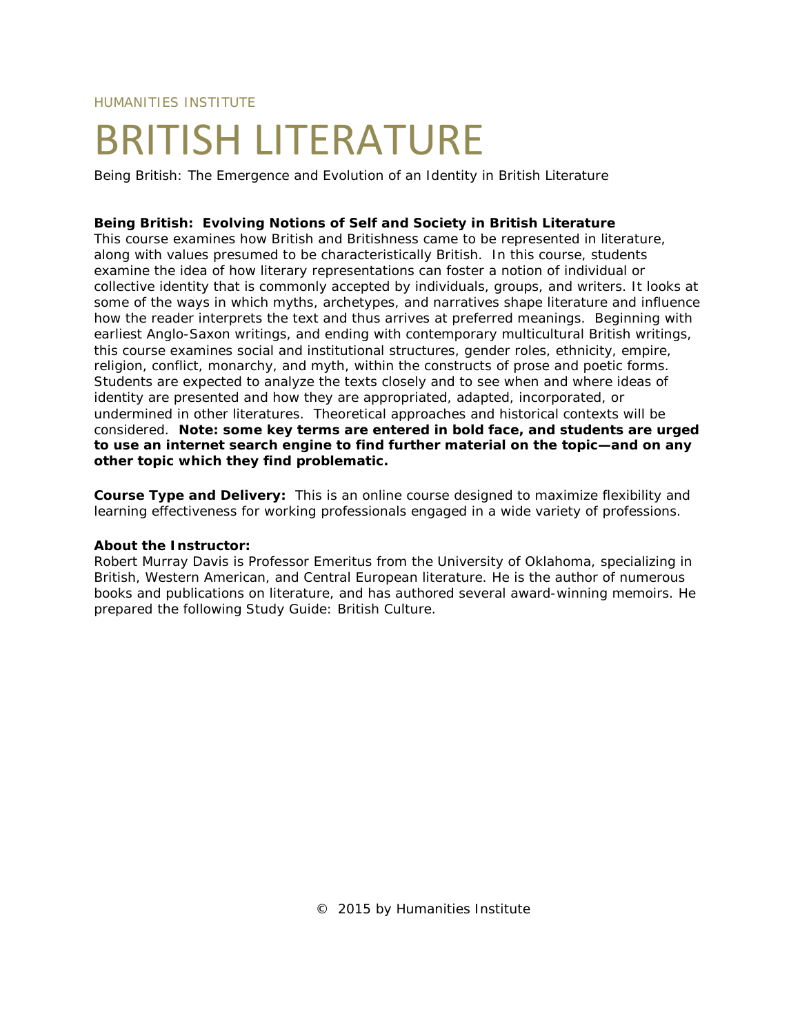HUMANITIES INSTITUTE

# BRITISH LITERATURE

Being British: The Emergence and Evolution of an Identity in British Literature

## **Being British: Evolving Notions of Self and Society in British Literature**

This course examines how British and Britishness came to be represented in literature, along with values presumed to be characteristically British. In this course, students examine the idea of how literary representations can foster a notion of individual or collective identity that is commonly accepted by individuals, groups, and writers. It looks at some of the ways in which myths, archetypes, and narratives shape literature and influence how the reader interprets the text and thus arrives at preferred meanings. Beginning with earliest Anglo-Saxon writings, and ending with contemporary multicultural British writings, this course examines social and institutional structures, gender roles, ethnicity, empire, religion, conflict, monarchy, and myth, within the constructs of prose and poetic forms. Students are expected to analyze the texts closely and to see when and where ideas of identity are presented and how they are appropriated, adapted, incorporated, or undermined in other literatures. Theoretical approaches and historical contexts will be considered. **Note: some key terms are entered in bold face, and students are urged to use an internet search engine to find further material on the topic—and on any other topic which they find problematic.**

**Course Type and Delivery:** This is an online course designed to maximize flexibility and learning effectiveness for working professionals engaged in a wide variety of professions.

#### **About the Instructor:**

Robert Murray Davis is Professor Emeritus from the University of Oklahoma, specializing in British, Western American, and Central European literature. He is the author of numerous books and publications on literature, and has authored several award-winning memoirs. He prepared the following Study Guide: British Culture.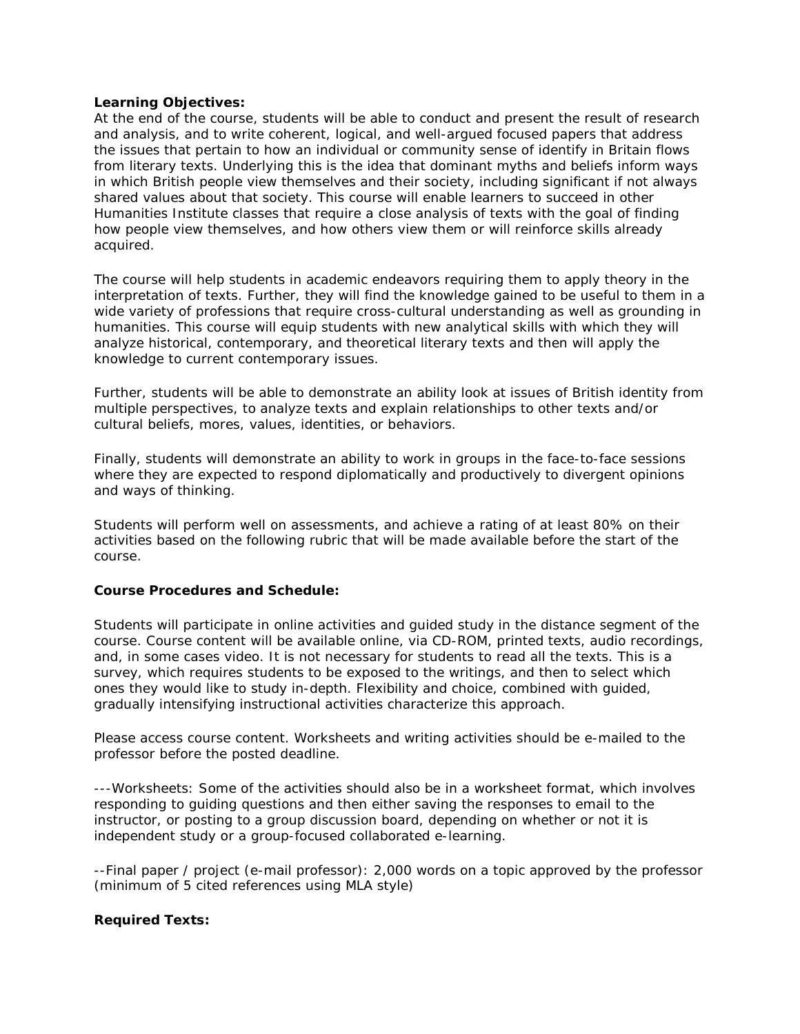## **Learning Objectives:**

At the end of the course, students will be able to conduct and present the result of research and analysis, and to write coherent, logical, and well-argued focused papers that address the issues that pertain to how an individual or community sense of identify in Britain flows from literary texts. Underlying this is the idea that dominant myths and beliefs inform ways in which British people view themselves and their society, including significant if not always shared values about that society. This course will enable learners to succeed in other Humanities Institute classes that require a close analysis of texts with the goal of finding how people view themselves, and how others view them or will reinforce skills already acquired.

The course will help students in academic endeavors requiring them to apply theory in the interpretation of texts. Further, they will find the knowledge gained to be useful to them in a wide variety of professions that require cross-cultural understanding as well as grounding in humanities. This course will equip students with new analytical skills with which they will analyze historical, contemporary, and theoretical literary texts and then will apply the knowledge to current contemporary issues.

Further, students will be able to demonstrate an ability look at issues of British identity from multiple perspectives, to analyze texts and explain relationships to other texts and/or cultural beliefs, mores, values, identities, or behaviors.

Finally, students will demonstrate an ability to work in groups in the face-to-face sessions where they are expected to respond diplomatically and productively to divergent opinions and ways of thinking.

Students will perform well on assessments, and achieve a rating of at least 80% on their activities based on the following rubric that will be made available before the start of the course.

#### **Course Procedures and Schedule:**

Students will participate in online activities and guided study in the distance segment of the course. Course content will be available online, via CD-ROM, printed texts, audio recordings, and, in some cases video. It is not necessary for students to read all the texts. This is a survey, which requires students to be exposed to the writings, and then to select which ones they would like to study in-depth. Flexibility and choice, combined with guided, gradually intensifying instructional activities characterize this approach.

Please access course content. Worksheets and writing activities should be e-mailed to the professor before the posted deadline.

---Worksheets: Some of the activities should also be in a worksheet format, which involves responding to guiding questions and then either saving the responses to email to the instructor, or posting to a group discussion board, depending on whether or not it is independent study or a group-focused collaborated e-learning.

--Final paper / project (e-mail professor): 2,000 words on a topic approved by the professor (minimum of 5 cited references using MLA style)

# **Required Texts:**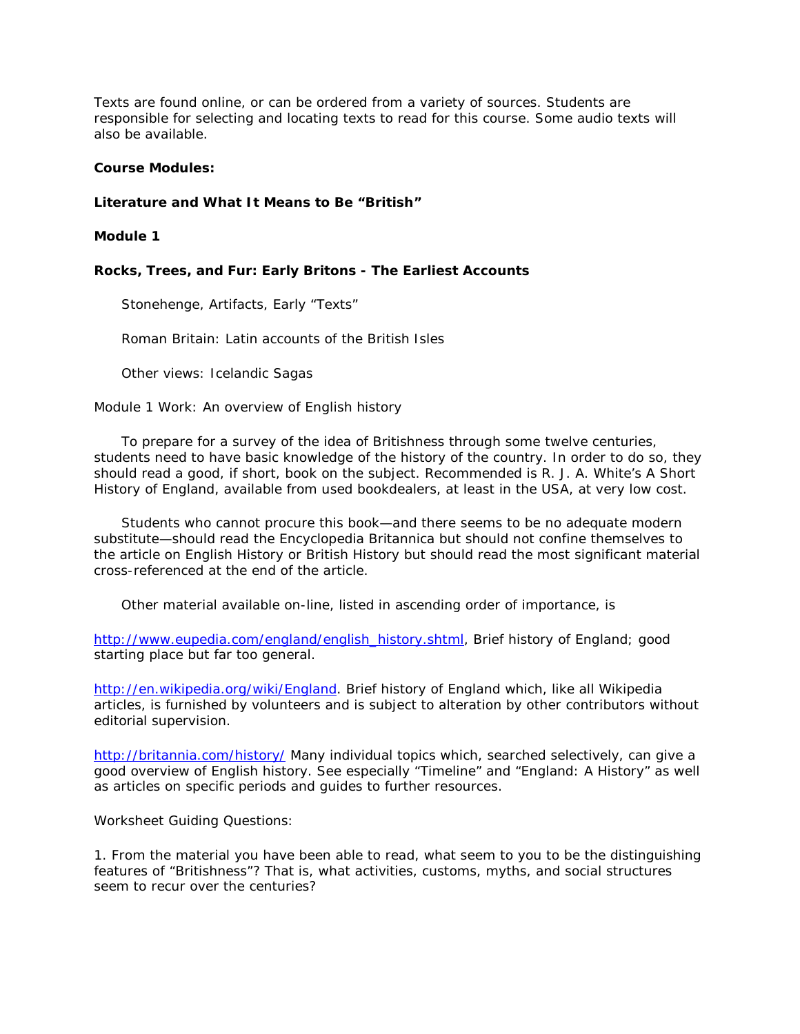Texts are found online, or can be ordered from a variety of sources. Students are responsible for selecting and locating texts to read for this course. Some audio texts will also be available.

## **Course Modules:**

# **Literature and What It Means to Be "British"**

# **Module 1**

# **Rocks, Trees, and Fur: Early Britons - The Earliest Accounts**

Stonehenge, Artifacts, Early "Texts"

Roman Britain: Latin accounts of the British Isles

Other views: Icelandic Sagas

Module 1 Work: An overview of English history

 To prepare for a survey of the idea of Britishness through some twelve centuries, students need to have basic knowledge of the history of the country. In order to do so, they should read a good, if short, book on the subject. Recommended is R. J. A. White's *A Short History of England*, available from used bookdealers, at least in the USA, at very low cost.

 Students who cannot procure this book—and there seems to be no adequate modern substitute—should read the *Encyclopedia Britannica* but should not confine themselves to the article on English History or British History but should read the most significant material cross-referenced at the end of the article.

Other material available on-line, listed in ascending order of importance, is

[http://www.eupedia.com/england/english\\_history.shtml,](http://www.eupedia.com/england/english_history.shtml) Brief history of England; good starting place but far too general.

[http://en.wikipedia.org/wiki/England.](http://en.wikipedia.org/wiki/England) Brief history of England which, like all Wikipedia articles, is furnished by volunteers and is subject to alteration by other contributors without editorial supervision.

<http://britannia.com/history/> Many individual topics which, searched selectively, can give a good overview of English history. See especially "Timeline" and "England: A History" as well as articles on specific periods and guides to further resources.

Worksheet Guiding Questions:

1. From the material you have been able to read, what seem to you to be the distinguishing features of "Britishness"? That is, what activities, customs, myths, and social structures seem to recur over the centuries?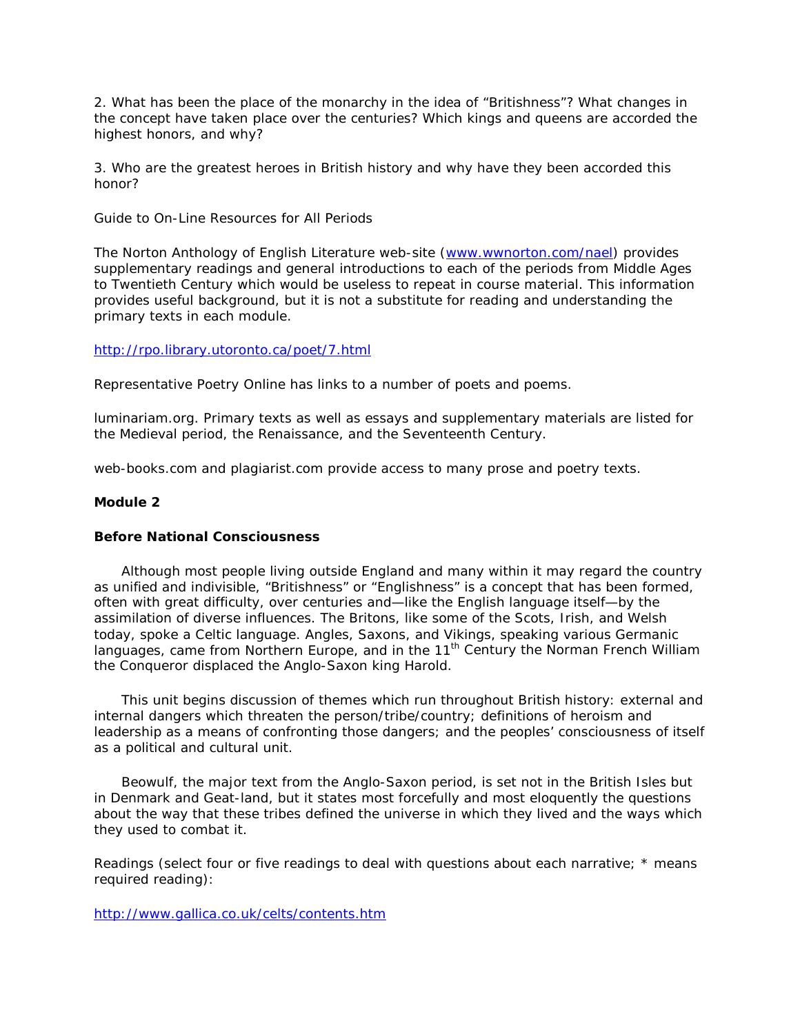2. What has been the place of the monarchy in the idea of "Britishness"? What changes in the concept have taken place over the centuries? Which kings and queens are accorded the highest honors, and why?

3. Who are the greatest heroes in British history and why have they been accorded this honor?

Guide to On-Line Resources for All Periods

The Norton Anthology of English Literature web-site [\(www.wwnorton.com/nael\)](http://www.wwnorton.com/nael) provides supplementary readings and general introductions to each of the periods from Middle Ages to Twentieth Century which would be useless to repeat in course material. This information provides useful background, but it is not a substitute for reading and understanding the primary texts in each module.

## <http://rpo.library.utoronto.ca/poet/7.html>

Representative Poetry Online has links to a number of poets and poems.

luminariam.org. Primary texts as well as essays and supplementary materials are listed for the Medieval period, the Renaissance, and the Seventeenth Century.

web-books.com and plagiarist.com provide access to many prose and poetry texts.

# **Module 2**

#### **Before National Consciousness**

 Although most people living outside England and many within it may regard the country as unified and indivisible, "Britishness" or "Englishness" is a concept that has been formed, often with great difficulty, over centuries and—like the English language itself—by the assimilation of diverse influences. The Britons, like some of the Scots, Irish, and Welsh today, spoke a Celtic language. Angles, Saxons, and Vikings, speaking various Germanic languages, came from Northern Europe, and in the 11<sup>th</sup> Century the Norman French William the Conqueror displaced the Anglo-Saxon king Harold.

 This unit begins discussion of themes which run throughout British history: external and internal dangers which threaten the person/tribe/country; definitions of heroism and leadership as a means of confronting those dangers; and the peoples' consciousness of itself as a political and cultural unit.

 *Beowulf*, the major text from the Anglo-Saxon period, is set not in the British Isles but in Denmark and Geat-land, but it states most forcefully and most eloquently the questions about the way that these tribes defined the universe in which they lived and the ways which they used to combat it.

Readings (select four or five readings to deal with questions about each narrative; \* means required reading):

<http://www.gallica.co.uk/celts/contents.htm>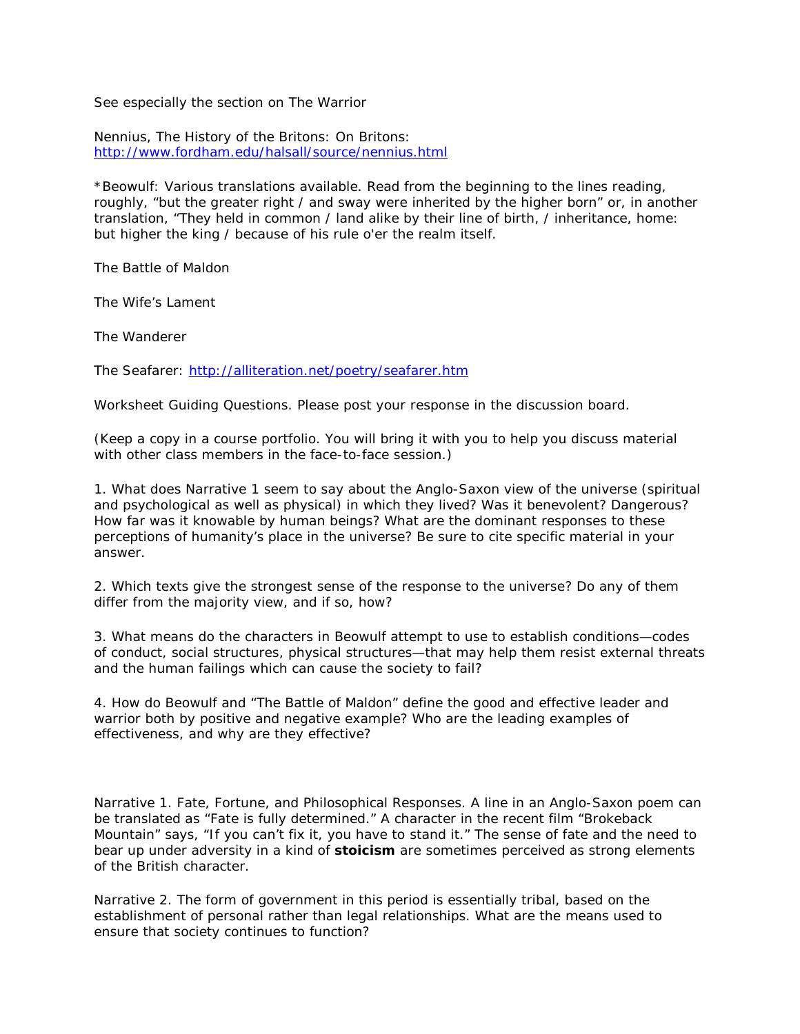See especially the section on The Warrior

Nennius, The History of the Britons: On Britons: <http://www.fordham.edu/halsall/source/nennius.html>

\**Beowulf*: Various translations available. Read from the beginning to the lines reading, roughly, "but the greater right / and sway were inherited by the higher born" or, in another translation, "They held in common / land alike by their line of birth, / inheritance, home: but higher the king / because of his rule o'er the realm itself.

The Battle of Maldon

The Wife's Lament

The Wanderer

The Seafarer:<http://alliteration.net/poetry/seafarer.htm>

Worksheet Guiding Questions. Please post your response in the discussion board.

(Keep a copy in a course portfolio. You will bring it with you to help you discuss material with other class members in the face-to-face session.)

1. What does Narrative 1 seem to say about the Anglo-Saxon view of the universe (spiritual and psychological as well as physical) in which they lived? Was it benevolent? Dangerous? How far was it knowable by human beings? What are the dominant responses to these perceptions of humanity's place in the universe? Be sure to cite specific material in your answer.

2. Which texts give the strongest sense of the response to the universe? Do any of them differ from the majority view, and if so, how?

3. What means do the characters in *Beowulf* attempt to use to establish conditions—codes of conduct, social structures, physical structures—that may help them resist external threats and the human failings which can cause the society to fail?

4. How do *Beowulf* and "The Battle of Maldon" define the good and effective leader and warrior both by positive and negative example? Who are the leading examples of effectiveness, and why are they effective?

Narrative 1. Fate, Fortune, and Philosophical Responses. A line in an Anglo-Saxon poem can be translated as "Fate is fully determined." A character in the recent film "Brokeback Mountain" says, "If you can't fix it, you have to stand it." The sense of fate and the need to bear up under adversity in a kind of **stoicism** are sometimes perceived as strong elements of the British character.

Narrative 2. The form of government in this period is essentially tribal, based on the establishment of personal rather than legal relationships. What are the means used to ensure that society continues to function?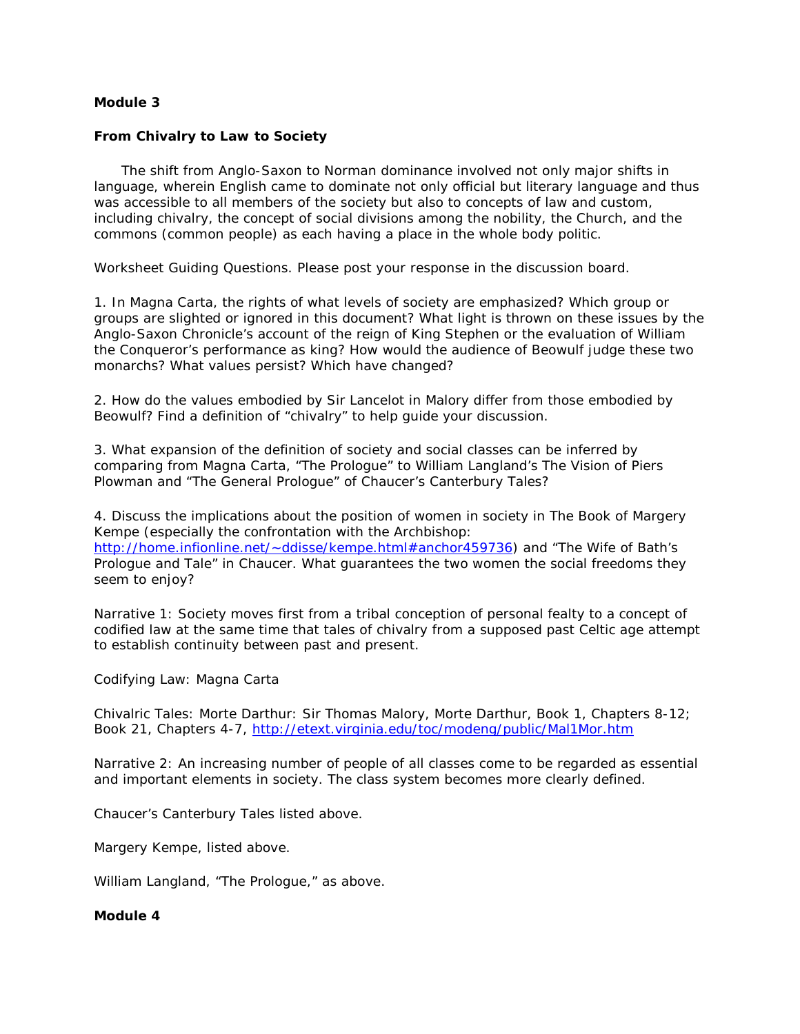## **Module 3**

## **From Chivalry to Law to Society**

 The shift from Anglo-Saxon to Norman dominance involved not only major shifts in language, wherein English came to dominate not only official but literary language and thus was accessible to all members of the society but also to concepts of law and custom, including chivalry, the concept of social divisions among the nobility, the Church, and the commons (common people) as each having a place in the whole body politic.

Worksheet Guiding Questions. Please post your response in the discussion board.

1. In *Magna Carta*, the rights of what levels of society are emphasized? Which group or groups are slighted or ignored in this document? What light is thrown on these issues by the *Anglo-Saxon Chronicle*'s account of the reign of King Stephen or the evaluation of William the Conqueror's performance as king? How would the audience of Beowulf judge these two monarchs? What values persist? Which have changed?

2. How do the values embodied by Sir Lancelot in Malory differ from those embodied by Beowulf? Find a definition of "chivalry" to help guide your discussion.

3. What expansion of the definition of society and social classes can be inferred by comparing from *Magna Carta*, "The Prologue" to William Langland's *The Vision of Piers Plowman* and "The General Prologue" of Chaucer's *Canterbury Tales*?

4. Discuss the implications about the position of women in society in *The Book of Margery Kempe* (especially the confrontation with the Archbishop: [http://home.infionline.net/~ddisse/kempe.html#anchor459736\)](http://home.infionline.net/%7Eddisse/kempe.html%23anchor459736) and "The Wife of Bath's Prologue and Tale" in Chaucer. What guarantees the two women the social freedoms they seem to enjoy?

Narrative 1: Society moves first from a tribal conception of personal fealty to a concept of codified law at the same time that tales of chivalry from a supposed past Celtic age attempt to establish continuity between past and present.

#### Codifying Law: *Magna Carta*

Chivalric Tales: *Morte Darthur*: Sir Thomas Malory, Morte Darthur, Book 1, Chapters 8-12; Book 21, Chapters 4-7,<http://etext.virginia.edu/toc/modeng/public/Mal1Mor.htm>

Narrative 2: An increasing number of people of all classes come to be regarded as essential and important elements in society. The class system becomes more clearly defined.

Chaucer's *Canterbury Tales* listed above.

Margery Kempe, listed above.

William Langland, "The Prologue," as above.

## **Module 4**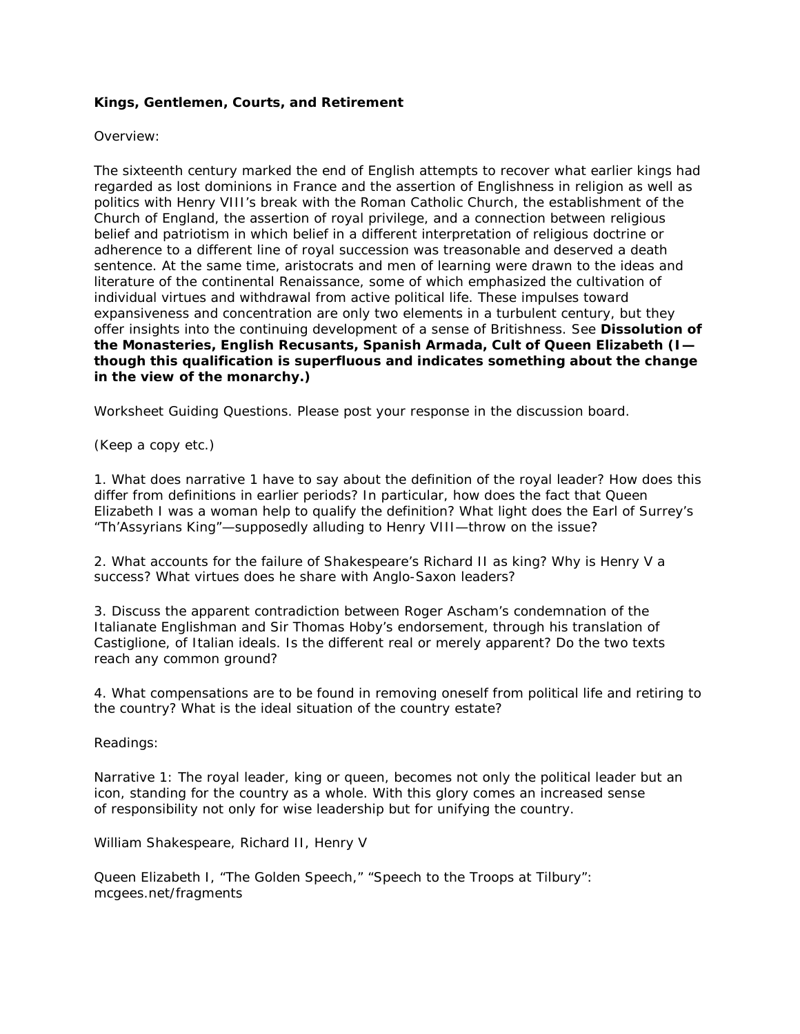# **Kings, Gentlemen, Courts, and Retirement**

#### Overview:

The sixteenth century marked the end of English attempts to recover what earlier kings had regarded as lost dominions in France and the assertion of Englishness in religion as well as politics with Henry VIII's break with the Roman Catholic Church, the establishment of the Church of England, the assertion of royal privilege, and a connection between religious belief and patriotism in which belief in a different interpretation of religious doctrine or adherence to a different line of royal succession was treasonable and deserved a death sentence. At the same time, aristocrats and men of learning were drawn to the ideas and literature of the continental Renaissance, some of which emphasized the cultivation of individual virtues and withdrawal from active political life. These impulses toward expansiveness and concentration are only two elements in a turbulent century, but they offer insights into the continuing development of a sense of Britishness. See **Dissolution of the Monasteries, English Recusants, Spanish Armada, Cult of Queen Elizabeth (I though this qualification is superfluous and indicates something about the change in the view of the monarchy.)**

Worksheet Guiding Questions. Please post your response in the discussion board.

(Keep a copy etc.)

1. What does narrative 1 have to say about the definition of the royal leader? How does this differ from definitions in earlier periods? In particular, how does the fact that Queen Elizabeth I was a woman help to qualify the definition? What light does the Earl of Surrey's "Th'Assyrians King"—supposedly alluding to Henry VIII—throw on the issue?

2. What accounts for the failure of Shakespeare's Richard II as king? Why is Henry V a success? What virtues does he share with Anglo-Saxon leaders?

3. Discuss the apparent contradiction between Roger Ascham's condemnation of the Italianate Englishman and Sir Thomas Hoby's endorsement, through his translation of Castiglione, of Italian ideals. Is the different real or merely apparent? Do the two texts reach any common ground?

4. What compensations are to be found in removing oneself from political life and retiring to the country? What is the ideal situation of the country estate?

Readings:

Narrative 1: The royal leader, king or queen, becomes not only the political leader but an icon, standing for the country as a whole. With this glory comes an increased sense of responsibility not only for wise leadership but for unifying the country.

William Shakespeare, *Richard II, Henry V*

Queen Elizabeth I, "The Golden Speech," "Speech to the Troops at Tilbury": mcgees.net/fragments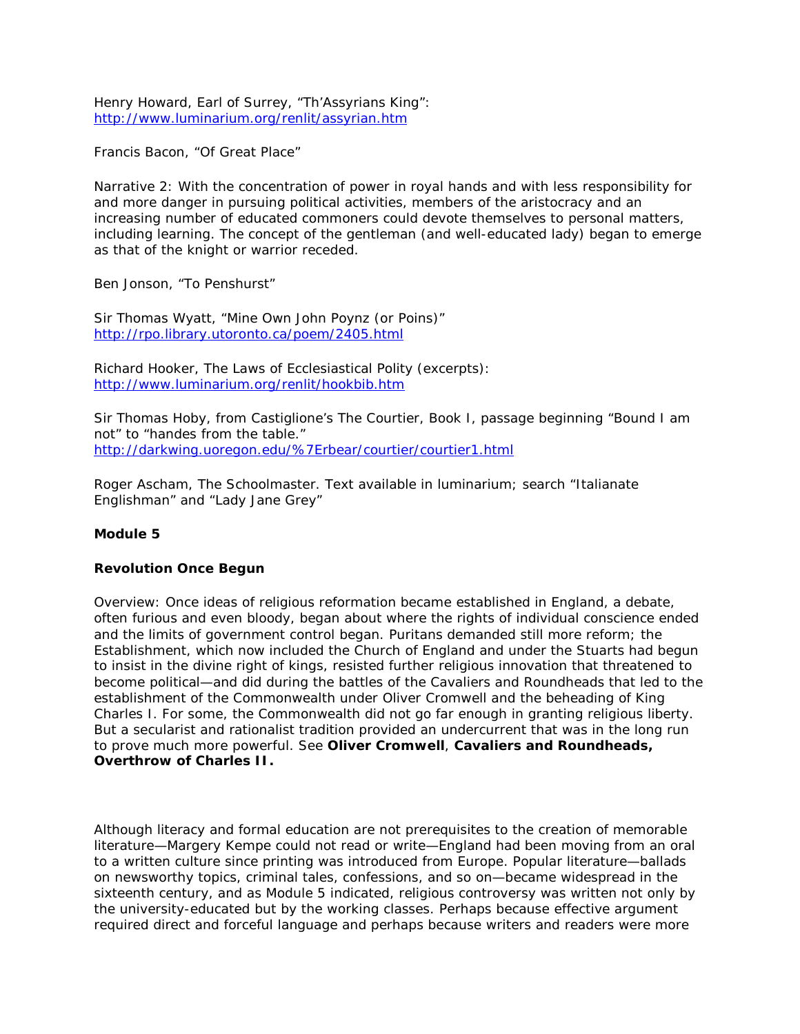Henry Howard, Earl of Surrey, "Th'Assyrians King": <http://www.luminarium.org/renlit/assyrian.htm>

Francis Bacon, "Of Great Place"

Narrative 2: With the concentration of power in royal hands and with less responsibility for and more danger in pursuing political activities, members of the aristocracy and an increasing number of educated commoners could devote themselves to personal matters, including learning. The concept of the gentleman (and well-educated lady) began to emerge as that of the knight or warrior receded.

Ben Jonson, "To Penshurst"

Sir Thomas Wyatt, "Mine Own John Poynz (or Poins)" <http://rpo.library.utoronto.ca/poem/2405.html>

Richard Hooker, The Laws of Ecclesiastical Polity (excerpts): <http://www.luminarium.org/renlit/hookbib.htm>

Sir Thomas Hoby, from Castiglione's *The Courtier*, Book I, passage beginning "Bound I am not" to "handes from the table." <http://darkwing.uoregon.edu/%7Erbear/courtier/courtier1.html>

Roger Ascham, The Schoolmaster. Text available in luminarium; search "Italianate Englishman" and "Lady Jane Grey"

# **Module 5**

#### **Revolution Once Begun**

Overview: Once ideas of religious reformation became established in England, a debate, often furious and even bloody, began about where the rights of individual conscience ended and the limits of government control began. Puritans demanded still more reform; the Establishment, which now included the Church of England and under the Stuarts had begun to insist in the divine right of kings, resisted further religious innovation that threatened to become political—and did during the battles of the Cavaliers and Roundheads that led to the establishment of the Commonwealth under Oliver Cromwell and the beheading of King Charles I. For some, the Commonwealth did not go far enough in granting religious liberty. But a secularist and rationalist tradition provided an undercurrent that was in the long run to prove much more powerful. See **Oliver Cromwell**, **Cavaliers and Roundheads, Overthrow of Charles II.**

Although literacy and formal education are not prerequisites to the creation of memorable literature—Margery Kempe could not read or write—England had been moving from an oral to a written culture since printing was introduced from Europe. Popular literature—ballads on newsworthy topics, criminal tales, confessions, and so on—became widespread in the sixteenth century, and as Module 5 indicated, religious controversy was written not only by the university-educated but by the working classes. Perhaps because effective argument required direct and forceful language and perhaps because writers and readers were more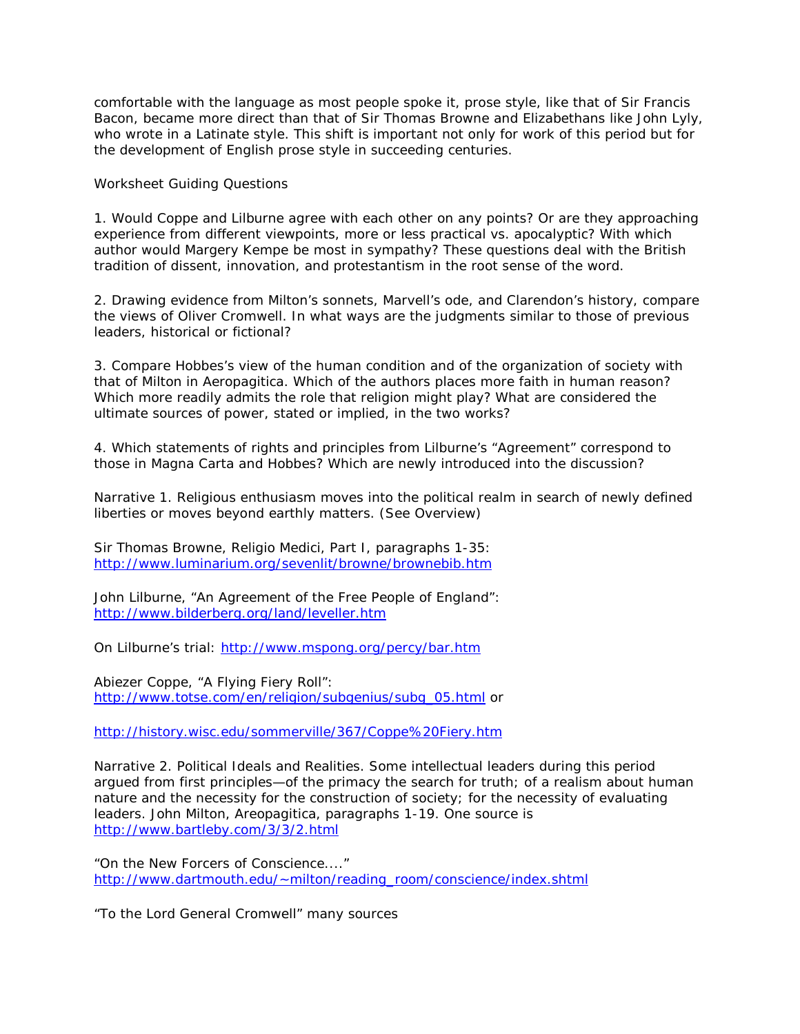comfortable with the language as most people spoke it, prose style, like that of Sir Francis Bacon, became more direct than that of Sir Thomas Browne and Elizabethans like John Lyly, who wrote in a Latinate style. This shift is important not only for work of this period but for the development of English prose style in succeeding centuries.

Worksheet Guiding Questions

1. Would Coppe and Lilburne agree with each other on any points? Or are they approaching experience from different viewpoints, more or less practical vs. apocalyptic? With which author would Margery Kempe be most in sympathy? These questions deal with the British tradition of dissent, innovation, and protestantism in the root sense of the word.

2. Drawing evidence from Milton's sonnets, Marvell's ode, and Clarendon's history, compare the views of Oliver Cromwell. In what ways are the judgments similar to those of previous leaders, historical or fictional?

3. Compare Hobbes's view of the human condition and of the organization of society with that of Milton in *Aeropagitica*. Which of the authors places more faith in human reason? Which more readily admits the role that religion might play? What are considered the ultimate sources of power, stated or implied, in the two works?

4. Which statements of rights and principles from Lilburne's "Agreement" correspond to those in *Magna Carta* and Hobbes? Which are newly introduced into the discussion?

Narrative 1. Religious enthusiasm moves into the political realm in search of newly defined liberties or moves beyond earthly matters. (See Overview)

Sir Thomas Browne, *Religio Medici*, Part I, paragraphs 1-35: <http://www.luminarium.org/sevenlit/browne/brownebib.htm>

John Lilburne, "An Agreement of the Free People of England": <http://www.bilderberg.org/land/leveller.htm>

On Lilburne's trial:<http://www.mspong.org/percy/bar.htm>

Abiezer Coppe, "A Flying Fiery Roll": [http://www.totse.com/en/religion/subgenius/subg\\_05.html](http://www.totse.com/en/religion/subgenius/subg_05.html) or

<http://history.wisc.edu/sommerville/367/Coppe%20Fiery.htm>

Narrative 2. Political Ideals and Realities. Some intellectual leaders during this period argued from first principles—of the primacy the search for truth; of a realism about human nature and the necessity for the construction of society; for the necessity of evaluating leaders. John Milton, Areopagitica, paragraphs 1-19. One source is <http://www.bartleby.com/3/3/2.html>

"On the New Forcers of Conscience...." [http://www.dartmouth.edu/~milton/reading\\_room/conscience/index.shtml](http://www.dartmouth.edu/%7Emilton/reading_room/conscience/index.shtml)

"To the Lord General Cromwell" many sources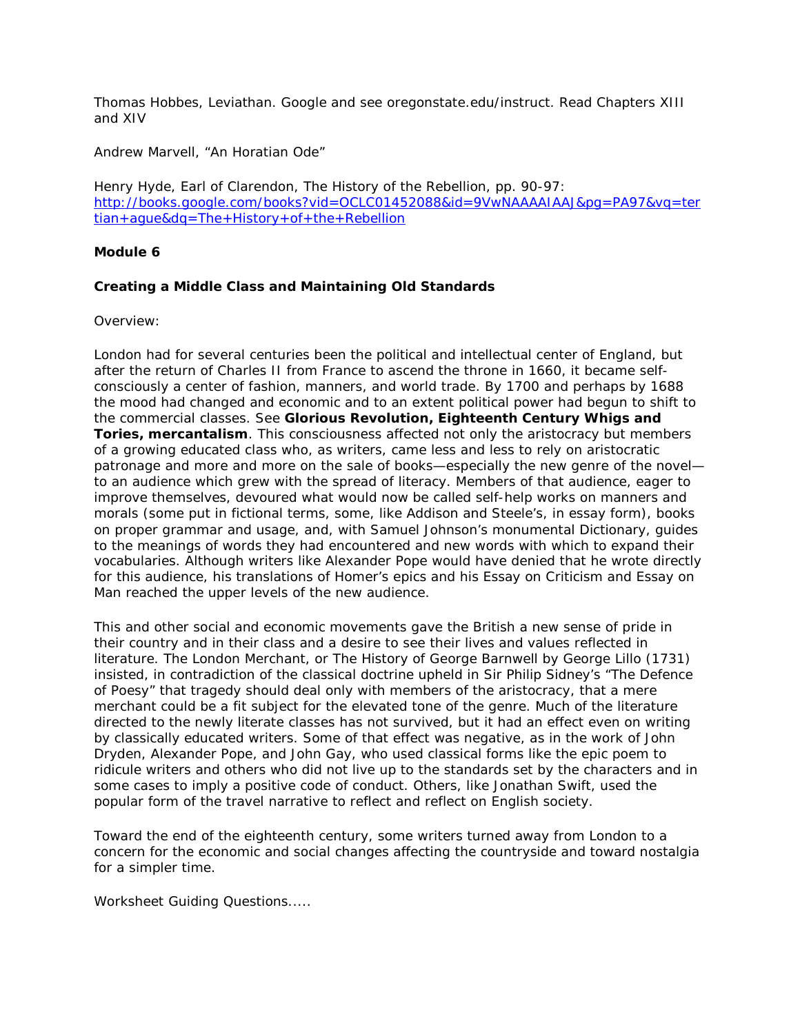Thomas Hobbes, Leviathan. Google and see oregonstate.edu/instruct. Read Chapters XIII and XIV

Andrew Marvell, "An Horatian Ode"

Henry Hyde, Earl of Clarendon, The History of the Rebellion, pp. 90-97: [http://books.google.com/books?vid=OCLC01452088&id=9VwNAAAAIAAJ&pg=PA97&vq=ter](http://books.google.com/books?vid=OCLC01452088&id=9VwNAAAAIAAJ&pg=PA97&vq=tertian+ague&dq=The+History+of+the+Rebellion) [tian+ague&dq=The+History+of+the+Rebellion](http://books.google.com/books?vid=OCLC01452088&id=9VwNAAAAIAAJ&pg=PA97&vq=tertian+ague&dq=The+History+of+the+Rebellion)

## **Module 6**

## **Creating a Middle Class and Maintaining Old Standards**

Overview:

London had for several centuries been the political and intellectual center of England, but after the return of Charles II from France to ascend the throne in 1660, it became selfconsciously a center of fashion, manners, and world trade. By 1700 and perhaps by 1688 the mood had changed and economic and to an extent political power had begun to shift to the commercial classes. See **Glorious Revolution, Eighteenth Century Whigs and Tories, mercantalism**. This consciousness affected not only the aristocracy but members of a growing educated class who, as writers, came less and less to rely on aristocratic patronage and more and more on the sale of books—especially the new genre of the novel to an audience which grew with the spread of literacy. Members of that audience, eager to improve themselves, devoured what would now be called self-help works on manners and morals (some put in fictional terms, some, like Addison and Steele's, in essay form), books on proper grammar and usage, and, with Samuel Johnson's monumental *Dictionary*, guides to the meanings of words they had encountered and new words with which to expand their vocabularies. Although writers like Alexander Pope would have denied that he wrote directly for this audience, his translations of Homer's epics and his *Essay on Criticism* and *Essay on Man* reached the upper levels of the new audience.

This and other social and economic movements gave the British a new sense of pride in their country and in their class and a desire to see their lives and values reflected in literature. *The London Merchant, or The History of George Barnwell* by George Lillo (1731) insisted, in contradiction of the classical doctrine upheld in Sir Philip Sidney's "The Defence of Poesy" that tragedy should deal only with members of the aristocracy, that a mere merchant could be a fit subject for the elevated tone of the genre. Much of the literature directed to the newly literate classes has not survived, but it had an effect even on writing by classically educated writers. Some of that effect was negative, as in the work of John Dryden, Alexander Pope, and John Gay, who used classical forms like the epic poem to ridicule writers and others who did not live up to the standards set by the characters and in some cases to imply a positive code of conduct. Others, like Jonathan Swift, used the popular form of the travel narrative to reflect and reflect on English society.

Toward the end of the eighteenth century, some writers turned away from London to a concern for the economic and social changes affecting the countryside and toward nostalgia for a simpler time.

Worksheet Guiding Questions.....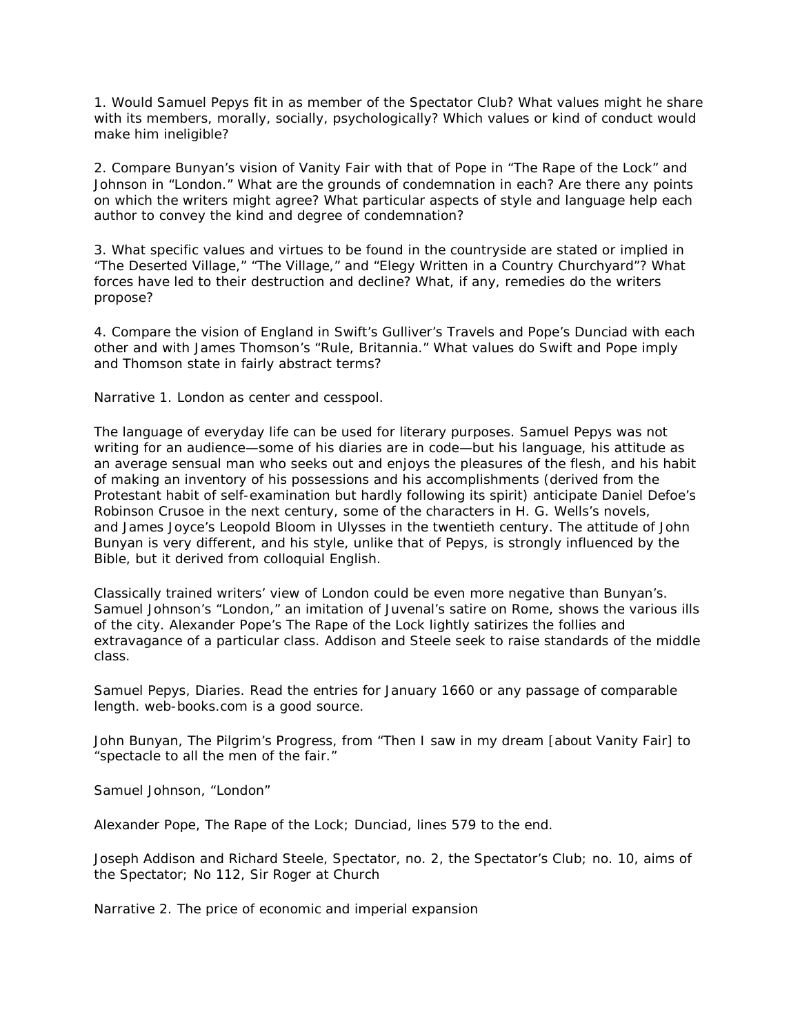1. Would Samuel Pepys fit in as member of the Spectator Club? What values might he share with its members, morally, socially, psychologically? Which values or kind of conduct would make him ineligible?

2. Compare Bunyan's vision of Vanity Fair with that of Pope in "The Rape of the Lock" and Johnson in "London." What are the grounds of condemnation in each? Are there any points on which the writers might agree? What particular aspects of style and language help each author to convey the kind and degree of condemnation?

3. What specific values and virtues to be found in the countryside are stated or implied in "The Deserted Village," "The Village," and "Elegy Written in a Country Churchyard"? What forces have led to their destruction and decline? What, if any, remedies do the writers propose?

4. Compare the vision of England in Swift's *Gulliver's Travels* and Pope's *Dunciad* with each other and with James Thomson's "Rule, Britannia." What values do Swift and Pope imply and Thomson state in fairly abstract terms?

Narrative 1. London as center and cesspool.

The language of everyday life can be used for literary purposes. Samuel Pepys was not writing for an audience—some of his diaries are in code—but his language, his attitude as an average sensual man who seeks out and enjoys the pleasures of the flesh, and his habit of making an inventory of his possessions and his accomplishments (derived from the Protestant habit of self-examination but hardly following its spirit) anticipate Daniel Defoe's Robinson Crusoe in the next century, some of the characters in H. G. Wells's novels, and James Joyce's Leopold Bloom in *Ulysses* in the twentieth century. The attitude of John Bunyan is very different, and his style, unlike that of Pepys, is strongly influenced by the Bible, but it derived from colloquial English.

Classically trained writers' view of London could be even more negative than Bunyan's. Samuel Johnson's "London," an imitation of Juvenal's satire on Rome, shows the various ills of the city. Alexander Pope's *The Rape of the Lock* lightly satirizes the follies and extravagance of a particular class. Addison and Steele seek to raise standards of the middle class.

Samuel Pepys, *Diaries*. Read the entries for January 1660 or any passage of comparable length. web-books.com is a good source.

John Bunyan, *The Pilgrim's Progress*, from "Then I saw in my dream [about Vanity Fair] to "spectacle to all the men of the fair."

Samuel Johnson, "London"

Alexander Pope, *The Rape of the Lock*; *Dunciad*, lines 579 to the end.

Joseph Addison and Richard Steele, *Spectator*, no. 2, the Spectator's Club; no. 10, aims of the *Spectator*; No 112, Sir Roger at Church

Narrative 2. The price of economic and imperial expansion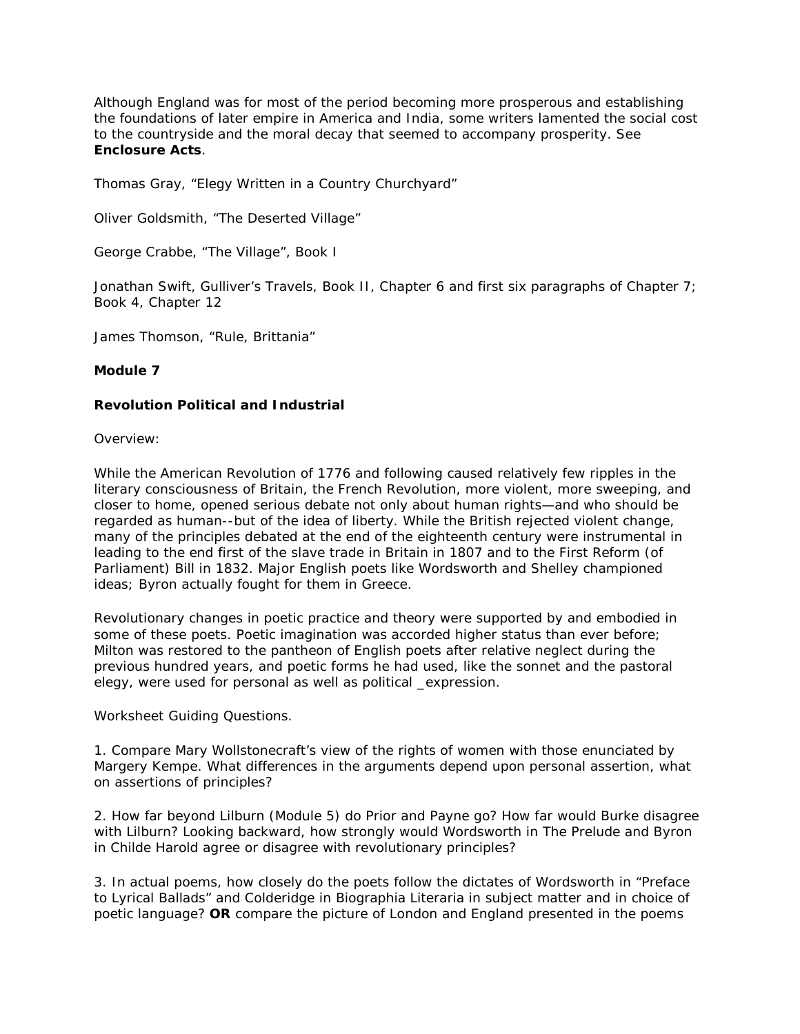Although England was for most of the period becoming more prosperous and establishing the foundations of later empire in America and India, some writers lamented the social cost to the countryside and the moral decay that seemed to accompany prosperity. See **Enclosure Acts**.

Thomas Gray, "Elegy Written in a Country Churchyard"

Oliver Goldsmith, "The Deserted Village"

George Crabbe, "The Village", Book I

Jonathan Swift, *Gulliver's Travels*, Book II, Chapter 6 and first six paragraphs of Chapter 7; Book 4, Chapter 12

James Thomson, "Rule, Brittania"

## **Module 7**

## **Revolution Political and Industrial**

Overview:

While the American Revolution of 1776 and following caused relatively few ripples in the literary consciousness of Britain, the French Revolution, more violent, more sweeping, and closer to home, opened serious debate not only about human rights—and who should be regarded as human--but of the idea of liberty. While the British rejected violent change, many of the principles debated at the end of the eighteenth century were instrumental in leading to the end first of the slave trade in Britain in 1807 and to the First Reform (of Parliament) Bill in 1832. Major English poets like Wordsworth and Shelley championed ideas; Byron actually fought for them in Greece.

Revolutionary changes in poetic practice and theory were supported by and embodied in some of these poets. Poetic imagination was accorded higher status than ever before; Milton was restored to the pantheon of English poets after relative neglect during the previous hundred years, and poetic forms he had used, like the sonnet and the pastoral elegy, were used for personal as well as political \_expression.

Worksheet Guiding Questions.

1. Compare Mary Wollstonecraft's view of the rights of women with those enunciated by Margery Kempe. What differences in the arguments depend upon personal assertion, what on assertions of principles?

2. How far beyond Lilburn (Module 5) do Prior and Payne go? How far would Burke disagree with Lilburn? Looking backward, how strongly would Wordsworth in *The Prelude* and Byron in *Childe Harold* agree or disagree with revolutionary principles?

3. In actual poems, how closely do the poets follow the dictates of Wordsworth in "Preface to Lyrical Ballads" and Colderidge in *Biographia Literaria* in subject matter and in choice of poetic language? **OR** compare the picture of London and England presented in the poems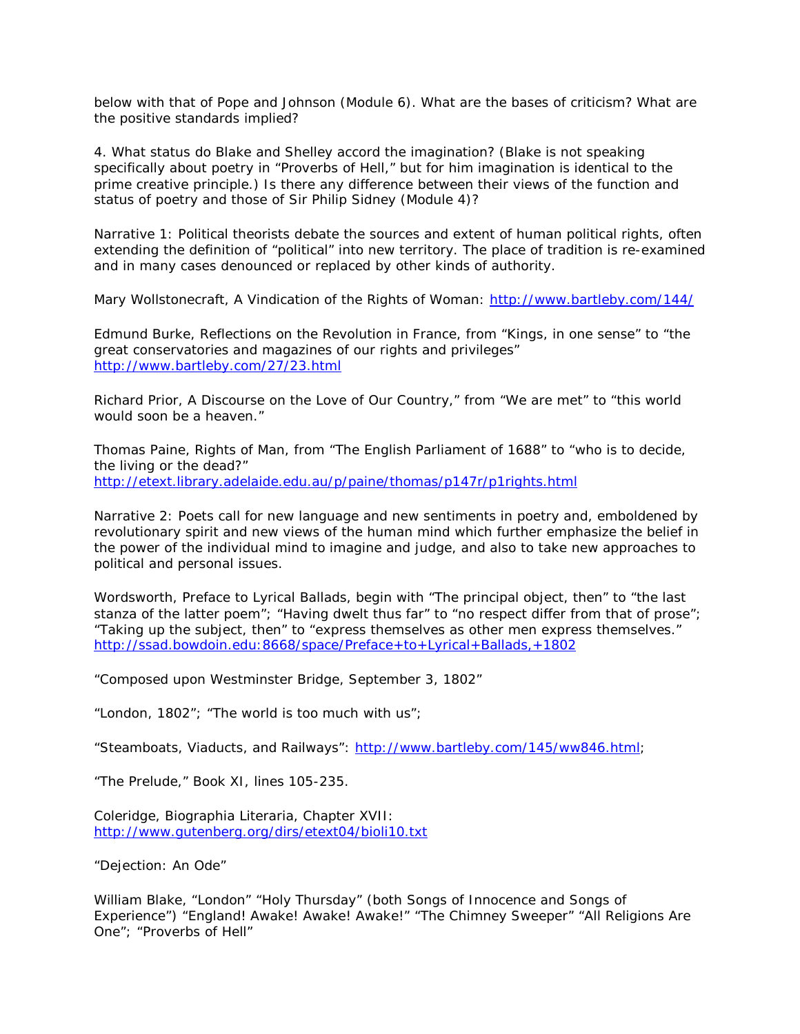below with that of Pope and Johnson (Module 6). What are the bases of criticism? What are the positive standards implied?

4. What status do Blake and Shelley accord the imagination? (Blake is not speaking specifically about poetry in "Proverbs of Hell," but for him imagination is identical to the prime creative principle.) Is there any difference between their views of the function and status of poetry and those of Sir Philip Sidney (Module 4)?

Narrative 1: Political theorists debate the sources and extent of human political rights, often extending the definition of "political" into new territory. The place of tradition is re-examined and in many cases denounced or replaced by other kinds of authority.

Mary Wollstonecraft, A Vindication of the Rights of Woman:<http://www.bartleby.com/144/>

Edmund Burke, Reflections on the Revolution in France, from "Kings, in one sense" to "the great conservatories and magazines of our rights and privileges" <http://www.bartleby.com/27/23.html>

Richard Prior, A Discourse on the Love of Our Country," from "We are met" to "this world would soon be a heaven."

Thomas Paine, Rights of Man, from "The English Parliament of 1688" to "who is to decide, the living or the dead?" <http://etext.library.adelaide.edu.au/p/paine/thomas/p147r/p1rights.html>

Narrative 2: Poets call for new language and new sentiments in poetry and, emboldened by revolutionary spirit and new views of the human mind which further emphasize the belief in the power of the individual mind to imagine and judge, and also to take new approaches to political and personal issues.

Wordsworth, Preface to Lyrical Ballads, begin with "The principal object, then" to "the last stanza of the latter poem"; "Having dwelt thus far" to "no respect differ from that of prose"; "Taking up the subject, then" to "express themselves as other men express themselves." <http://ssad.bowdoin.edu:8668/space/Preface+to+Lyrical+Ballads,+1802>

"Composed upon Westminster Bridge, September 3, 1802"

"London, 1802"; "The world is too much with us";

"Steamboats, Viaducts, and Railways": http://www.bartleby.com/145/ww846.html:

"The Prelude," Book XI, lines 105-235.

Coleridge, Biographia Literaria, Chapter XVII: <http://www.gutenberg.org/dirs/etext04/bioli10.txt>

"Dejection: An Ode"

William Blake, "London" "Holy Thursday" (both Songs of Innocence and Songs of Experience") "England! Awake! Awake! Awake!" "The Chimney Sweeper" "All Religions Are One"; "Proverbs of Hell"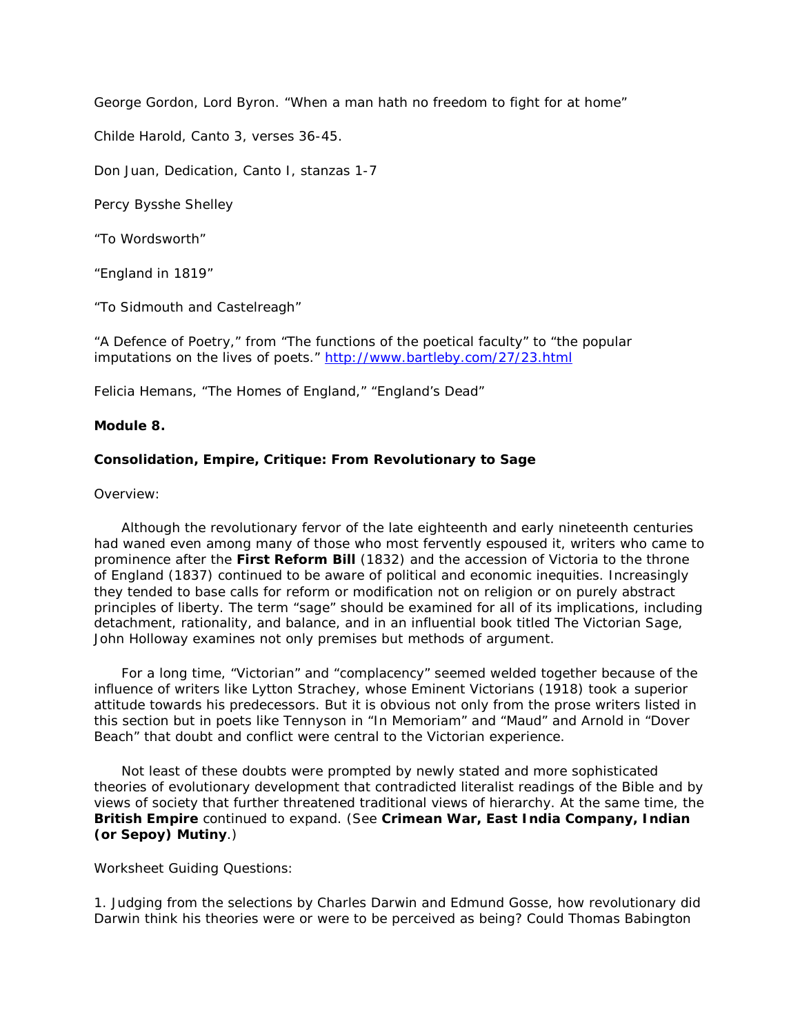George Gordon, Lord Byron. "When a man hath no freedom to fight for at home"

*Childe Harold*, Canto 3, verses 36-45.

*Don Juan*, Dedication, Canto I, stanzas 1-7

Percy Bysshe Shelley

"To Wordsworth"

"England in 1819"

"To Sidmouth and Castelreagh"

"A Defence of Poetry," from "The functions of the poetical faculty" to "the popular imputations on the lives of poets."<http://www.bartleby.com/27/23.html>

Felicia Hemans, "The Homes of England," "England's Dead"

## **Module 8.**

## **Consolidation, Empire, Critique: From Revolutionary to Sage**

Overview:

 Although the revolutionary fervor of the late eighteenth and early nineteenth centuries had waned even among many of those who most fervently espoused it, writers who came to prominence after the **First Reform Bill** (1832) and the accession of Victoria to the throne of England (1837) continued to be aware of political and economic inequities. Increasingly they tended to base calls for reform or modification not on religion or on purely abstract principles of liberty. The term "sage" should be examined for all of its implications, including detachment, rationality, and balance, and in an influential book titled *The Victorian Sage*, John Holloway examines not only premises but methods of argument.

 For a long time, "Victorian" and "complacency" seemed welded together because of the influence of writers like Lytton Strachey, whose *Eminent Victorians* (1918) took a superior attitude towards his predecessors. But it is obvious not only from the prose writers listed in this section but in poets like Tennyson in "In Memoriam" and "Maud" and Arnold in "Dover Beach" that doubt and conflict were central to the Victorian experience.

 Not least of these doubts were prompted by newly stated and more sophisticated theories of evolutionary development that contradicted literalist readings of the Bible and by views of society that further threatened traditional views of hierarchy. At the same time, the **British Empire** continued to expand. (See **Crimean War, East India Company, Indian (or Sepoy) Mutiny**.)

Worksheet Guiding Questions:

1. Judging from the selections by Charles Darwin and Edmund Gosse, how revolutionary did Darwin think his theories were or were to be perceived as being? Could Thomas Babington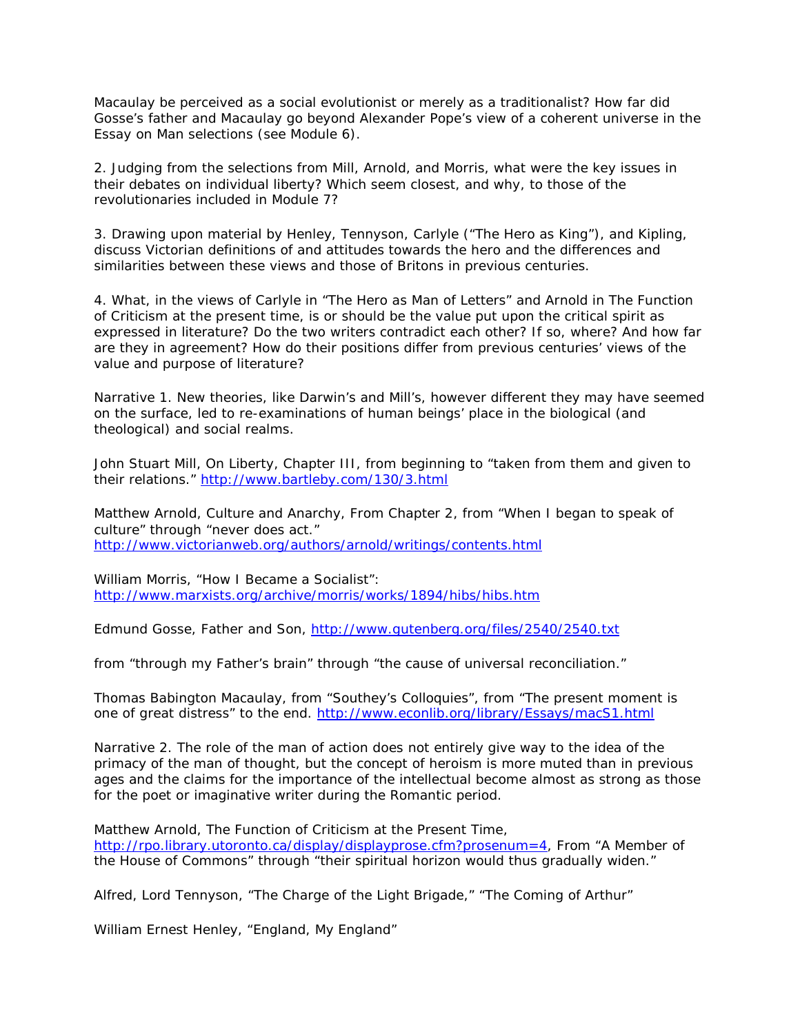Macaulay be perceived as a social evolutionist or merely as a traditionalist? How far did Gosse's father and Macaulay go beyond Alexander Pope's view of a coherent universe in the *Essay on Man* selections (see Module 6).

2. Judging from the selections from Mill, Arnold, and Morris, what were the key issues in their debates on individual liberty? Which seem closest, and why, to those of the revolutionaries included in Module 7?

3. Drawing upon material by Henley, Tennyson, Carlyle ("The Hero as King"), and Kipling, discuss Victorian definitions of and attitudes towards the hero and the differences and similarities between these views and those of Britons in previous centuries.

4. What, in the views of Carlyle in "The Hero as Man of Letters" and Arnold in *The Function of Criticism* at the present time, is or should be the value put upon the critical spirit as expressed in literature? Do the two writers contradict each other? If so, where? And how far are they in agreement? How do their positions differ from previous centuries' views of the value and purpose of literature?

Narrative 1. New theories, like Darwin's and Mill's, however different they may have seemed on the surface, led to re-examinations of human beings' place in the biological (and theological) and social realms.

John Stuart Mill, *On Liberty*, Chapter III, from beginning to "taken from them and given to their relations."<http://www.bartleby.com/130/3.html>

Matthew Arnold, *Culture and Anarchy*, From Chapter 2, from "When I began to speak of culture" through "never does act." <http://www.victorianweb.org/authors/arnold/writings/contents.html>

William Morris, "How I Became a Socialist": <http://www.marxists.org/archive/morris/works/1894/hibs/hibs.htm>

Edmund Gosse, *Father and Son*,<http://www.gutenberg.org/files/2540/2540.txt>

from "through my Father's brain" through "the cause of universal reconciliation."

Thomas Babington Macaulay, from "Southey's *Colloquies*", from "The present moment is one of great distress" to the end.<http://www.econlib.org/library/Essays/macS1.html>

Narrative 2. The role of the man of action does not entirely give way to the idea of the primacy of the man of thought, but the concept of heroism is more muted than in previous ages and the claims for the importance of the intellectual become almost as strong as those for the poet or imaginative writer during the Romantic period.

Matthew Arnold, *The Function of Criticism at the Present Time*, [http://rpo.library.utoronto.ca/display/displayprose.cfm?prosenum=4,](http://rpo.library.utoronto.ca/display/displayprose.cfm?prosenum=4) From "A Member of the House of Commons" through "their spiritual horizon would thus gradually widen."

Alfred, Lord Tennyson, "The Charge of the Light Brigade," "The Coming of Arthur"

William Ernest Henley, "England, My England"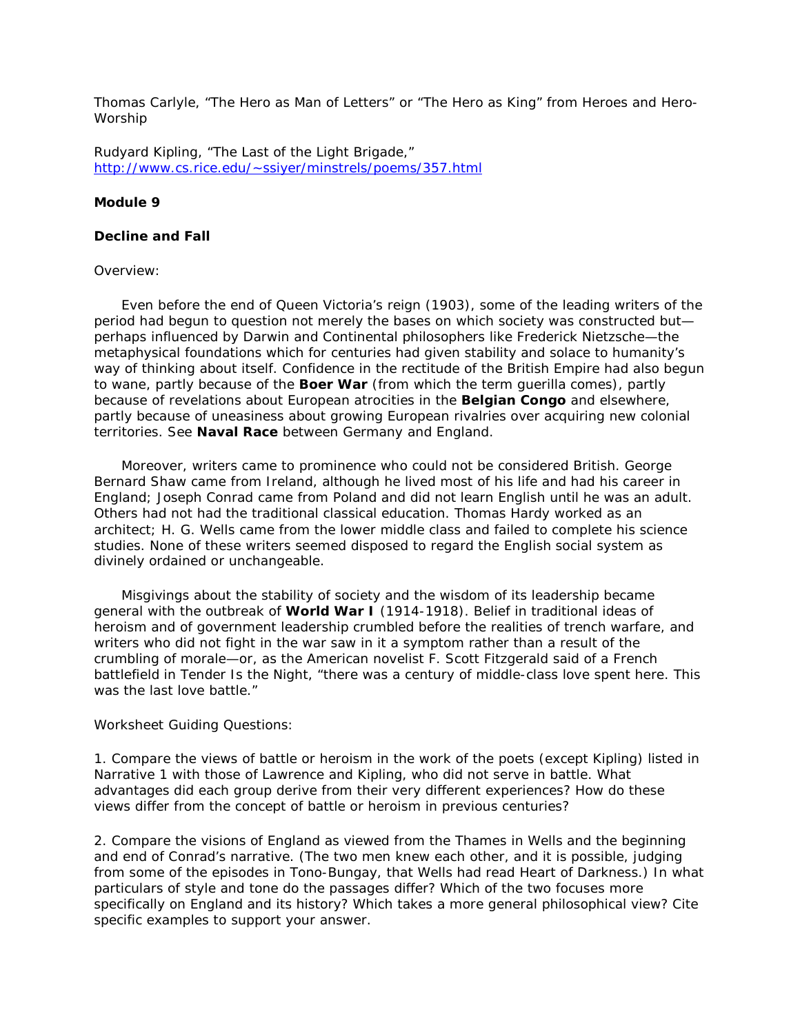Thomas Carlyle, "The Hero as Man of Letters" or "The Hero as King" from *Heroes and Hero-Worship*

Rudyard Kipling, "The Last of the Light Brigade," [http://www.cs.rice.edu/~ssiyer/minstrels/poems/357.html](http://www.cs.rice.edu/%7Essiyer/minstrels/poems/357.html)

## **Module 9**

## **Decline and Fall**

#### Overview:

 Even before the end of Queen Victoria's reign (1903), some of the leading writers of the period had begun to question not merely the bases on which society was constructed but perhaps influenced by Darwin and Continental philosophers like Frederick Nietzsche—the metaphysical foundations which for centuries had given stability and solace to humanity's way of thinking about itself. Confidence in the rectitude of the British Empire had also begun to wane, partly because of the **Boer War** (from which the term guerilla comes), partly because of revelations about European atrocities in the **Belgian Congo** and elsewhere, partly because of uneasiness about growing European rivalries over acquiring new colonial territories. See **Naval Race** between Germany and England.

 Moreover, writers came to prominence who could not be considered British. George Bernard Shaw came from Ireland, although he lived most of his life and had his career in England; Joseph Conrad came from Poland and did not learn English until he was an adult. Others had not had the traditional classical education. Thomas Hardy worked as an architect; H. G. Wells came from the lower middle class and failed to complete his science studies. None of these writers seemed disposed to regard the English social system as divinely ordained or unchangeable.

 Misgivings about the stability of society and the wisdom of its leadership became general with the outbreak of **World War I** (1914-1918). Belief in traditional ideas of heroism and of government leadership crumbled before the realities of trench warfare, and writers who did not fight in the war saw in it a symptom rather than a result of the crumbling of morale—or, as the American novelist F. Scott Fitzgerald said of a French battlefield in *Tender Is the Night*, "there was a century of middle-class love spent here. This was the last love battle."

#### Worksheet Guiding Questions:

1. Compare the views of battle or heroism in the work of the poets (except Kipling) listed in Narrative 1 with those of Lawrence and Kipling, who did not serve in battle. What advantages did each group derive from their very different experiences? How do these views differ from the concept of battle or heroism in previous centuries?

2. Compare the visions of England as viewed from the Thames in Wells and the beginning and end of Conrad's narrative. (The two men knew each other, and it is possible, judging from some of the episodes in *Tono-Bungay*, that Wells had read *Heart of Darkness.*) In what particulars of style and tone do the passages differ? Which of the two focuses more specifically on England and its history? Which takes a more general philosophical view? Cite specific examples to support your answer.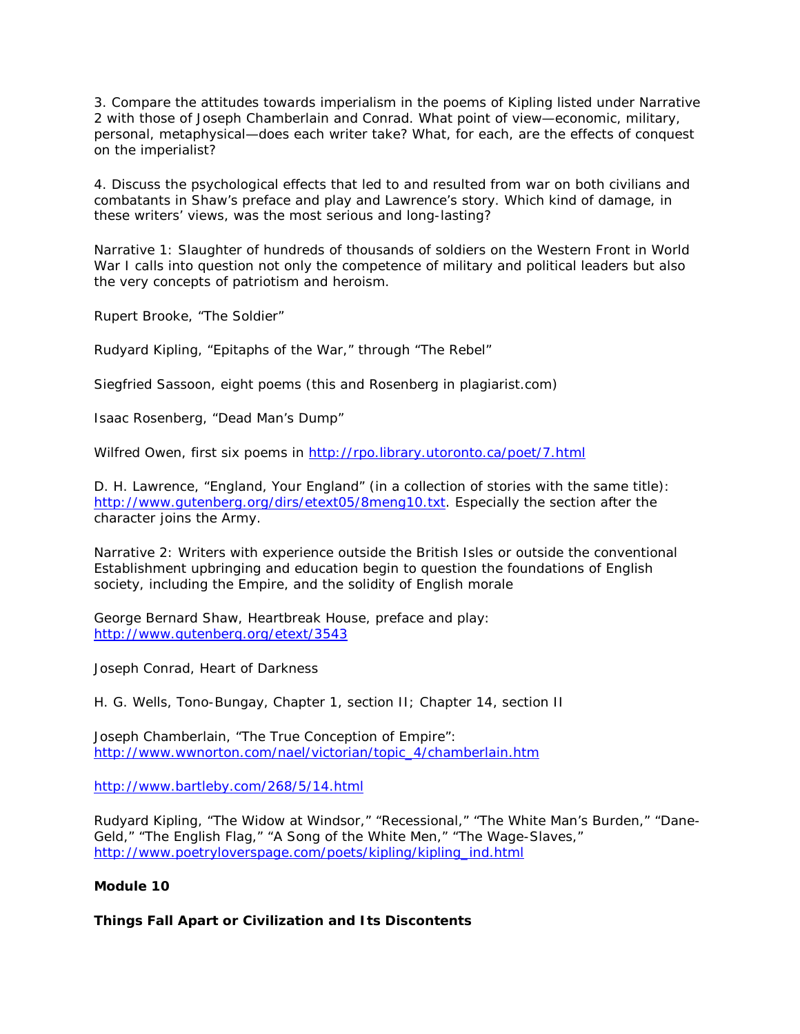3. Compare the attitudes towards imperialism in the poems of Kipling listed under Narrative 2 with those of Joseph Chamberlain and Conrad. What point of view—economic, military, personal, metaphysical—does each writer take? What, for each, are the effects of conquest on the imperialist?

4. Discuss the psychological effects that led to and resulted from war on both civilians and combatants in Shaw's preface and play and Lawrence's story. Which kind of damage, in these writers' views, was the most serious and long-lasting?

Narrative 1: Slaughter of hundreds of thousands of soldiers on the Western Front in World War I calls into question not only the competence of military and political leaders but also the very concepts of patriotism and heroism.

Rupert Brooke, "The Soldier"

Rudyard Kipling, "Epitaphs of the War," through "The Rebel"

Siegfried Sassoon, eight poems (this and Rosenberg in plagiarist.com)

Isaac Rosenberg, "Dead Man's Dump"

Wilfred Owen, first six poems in<http://rpo.library.utoronto.ca/poet/7.html>

D. H. Lawrence, "England, Your England" (in a collection of stories with the same title): [http://www.gutenberg.org/dirs/etext05/8meng10.txt.](http://www.gutenberg.org/dirs/etext05/8meng10.txt) Especially the section after the character joins the Army.

Narrative 2: Writers with experience outside the British Isles or outside the conventional Establishment upbringing and education begin to question the foundations of English society, including the Empire, and the solidity of English morale

George Bernard Shaw, *Heartbreak House*, preface and play: <http://www.gutenberg.org/etext/3543>

Joseph Conrad, *Heart of Darkness*

H. G. Wells, *Tono-Bungay*, Chapter 1, section II; Chapter 14, section II

Joseph Chamberlain, "The True Conception of Empire": [http://www.wwnorton.com/nael/victorian/topic\\_4/chamberlain.htm](http://www.wwnorton.com/nael/victorian/topic_4/chamberlain.htm)

<http://www.bartleby.com/268/5/14.html>

Rudyard Kipling, "The Widow at Windsor," "Recessional," "The White Man's Burden," "Dane-Geld," "The English Flag," "A Song of the White Men," "The Wage-Slaves," [http://www.poetryloverspage.com/poets/kipling/kipling\\_ind.html](http://www.poetryloverspage.com/poets/kipling/kipling_ind.html)

#### **Module 10**

#### **Things Fall Apart or Civilization and Its Discontents**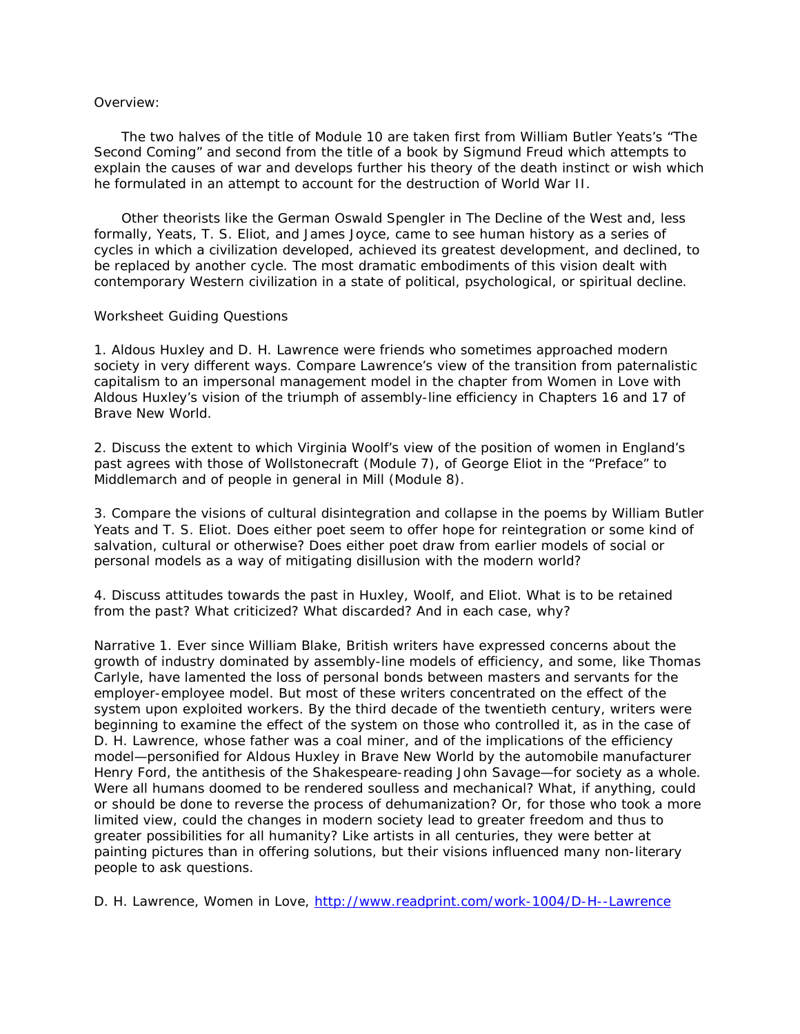## Overview:

 The two halves of the title of Module 10 are taken first from William Butler Yeats's "The Second Coming" and second from the title of a book by Sigmund Freud which attempts to explain the causes of war and develops further his theory of the death instinct or wish which he formulated in an attempt to account for the destruction of World War II.

 Other theorists like the German Oswald Spengler in *The Decline of the West* and, less formally, Yeats, T. S. Eliot, and James Joyce, came to see human history as a series of cycles in which a civilization developed, achieved its greatest development, and declined, to be replaced by another cycle. The most dramatic embodiments of this vision dealt with contemporary Western civilization in a state of political, psychological, or spiritual decline.

#### Worksheet Guiding Questions

1. Aldous Huxley and D. H. Lawrence were friends who sometimes approached modern society in very different ways. Compare Lawrence's view of the transition from paternalistic capitalism to an impersonal management model in the chapter from *Women in Love* with Aldous Huxley's vision of the triumph of assembly-line efficiency in Chapters 16 and 17 of *Brave New World*.

2. Discuss the extent to which Virginia Woolf's view of the position of women in England's past agrees with those of Wollstonecraft (Module 7), of George Eliot in the "Preface" to *Middlemarch* and of people in general in Mill (Module 8).

3. Compare the visions of cultural disintegration and collapse in the poems by William Butler Yeats and T. S. Eliot. Does either poet seem to offer hope for reintegration or some kind of salvation, cultural or otherwise? Does either poet draw from earlier models of social or personal models as a way of mitigating disillusion with the modern world?

4. Discuss attitudes towards the past in Huxley, Woolf, and Eliot. What is to be retained from the past? What criticized? What discarded? And in each case, why?

Narrative 1. Ever since William Blake, British writers have expressed concerns about the growth of industry dominated by assembly-line models of efficiency, and some, like Thomas Carlyle, have lamented the loss of personal bonds between masters and servants for the employer-employee model. But most of these writers concentrated on the effect of the system upon exploited workers. By the third decade of the twentieth century, writers were beginning to examine the effect of the system on those who controlled it, as in the case of D. H. Lawrence, whose father was a coal miner, and of the implications of the efficiency model—personified for Aldous Huxley in *Brave New World* by the automobile manufacturer Henry Ford, the antithesis of the Shakespeare-reading John Savage—for society as a whole. Were all humans doomed to be rendered soulless and mechanical? What, if anything, could or should be done to reverse the process of dehumanization? Or, for those who took a more limited view, could the changes in modern society lead to greater freedom and thus to greater possibilities for all humanity? Like artists in all centuries, they were better at painting pictures than in offering solutions, but their visions influenced many non-literary people to ask questions.

D. H. Lawrence, *Women in Love*,<http://www.readprint.com/work-1004/D-H--Lawrence>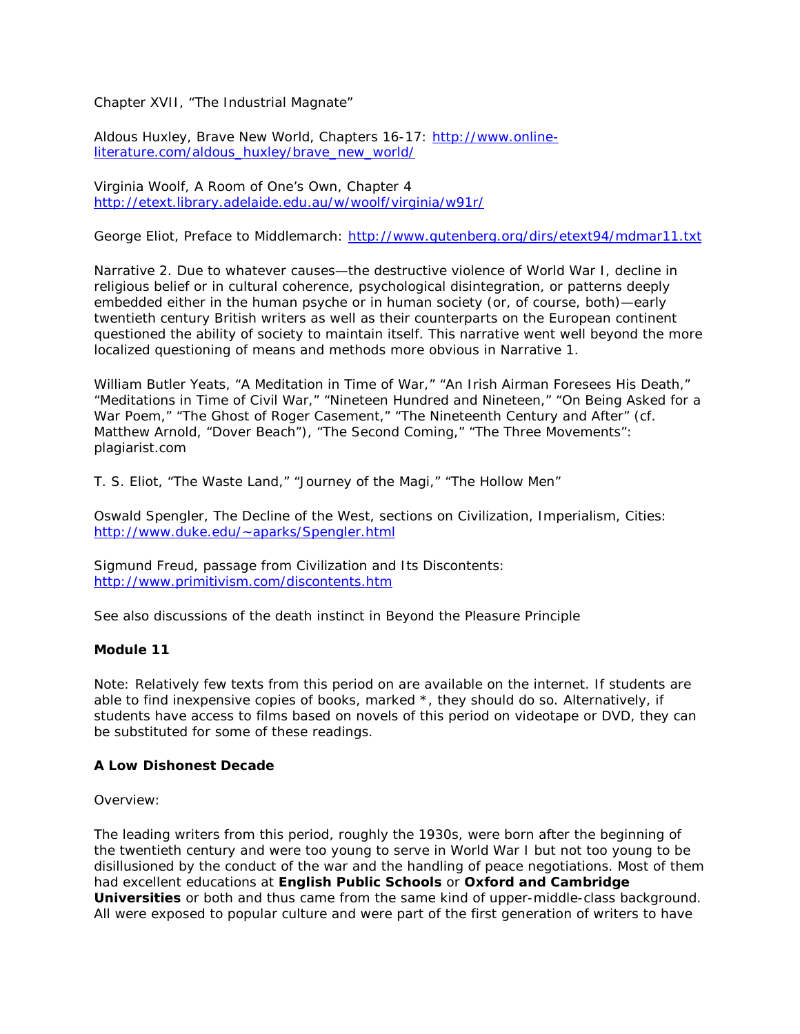Chapter XVII, "The Industrial Magnate"

Aldous Huxley, *Brave New World*, Chapters 16-17: [http://www.online](http://www.online-literature.com/aldous_huxley/brave_new_world/)[literature.com/aldous\\_huxley/brave\\_new\\_world/](http://www.online-literature.com/aldous_huxley/brave_new_world/)

Virginia Woolf, *A Room of One's Own*, Chapter 4 <http://etext.library.adelaide.edu.au/w/woolf/virginia/w91r/>

George Eliot, Preface to Middlemarch:<http://www.gutenberg.org/dirs/etext94/mdmar11.txt>

Narrative 2. Due to whatever causes—the destructive violence of World War I, decline in religious belief or in cultural coherence, psychological disintegration, or patterns deeply embedded either in the human psyche or in human society (or, of course, both)—early twentieth century British writers as well as their counterparts on the European continent questioned the ability of society to maintain itself. This narrative went well beyond the more localized questioning of means and methods more obvious in Narrative 1.

William Butler Yeats, "A Meditation in Time of War," "An Irish Airman Foresees His Death," "Meditations in Time of Civil War," "Nineteen Hundred and Nineteen," "On Being Asked for a War Poem," "The Ghost of Roger Casement," "The Nineteenth Century and After" (cf. Matthew Arnold, "Dover Beach"), "The Second Coming," "The Three Movements": plagiarist.com

T. S. Eliot, "The Waste Land," "Journey of the Magi," "The Hollow Men"

Oswald Spengler, *The Decline of the West*, sections on Civilization, Imperialism, Cities: [http://www.duke.edu/~aparks/Spengler.html](http://www.duke.edu/%7Eaparks/Spengler.html)

Sigmund Freud, passage from *Civilization and Its Discontents*: <http://www.primitivism.com/discontents.htm>

See also discussions of the death instinct in *Beyond the Pleasure Principle*

## **Module 11**

Note: Relatively few texts from this period on are available on the internet. If students are able to find inexpensive copies of books, marked \*, they should do so. Alternatively, if students have access to films based on novels of this period on videotape or DVD, they can be substituted for some of these readings.

#### **A Low Dishonest Decade**

#### Overview:

The leading writers from this period, roughly the 1930s, were born after the beginning of the twentieth century and were too young to serve in World War I but not too young to be disillusioned by the conduct of the war and the handling of peace negotiations. Most of them had excellent educations at **English Public Schools** or **Oxford and Cambridge Universities** or both and thus came from the same kind of upper-middle-class background. All were exposed to popular culture and were part of the first generation of writers to have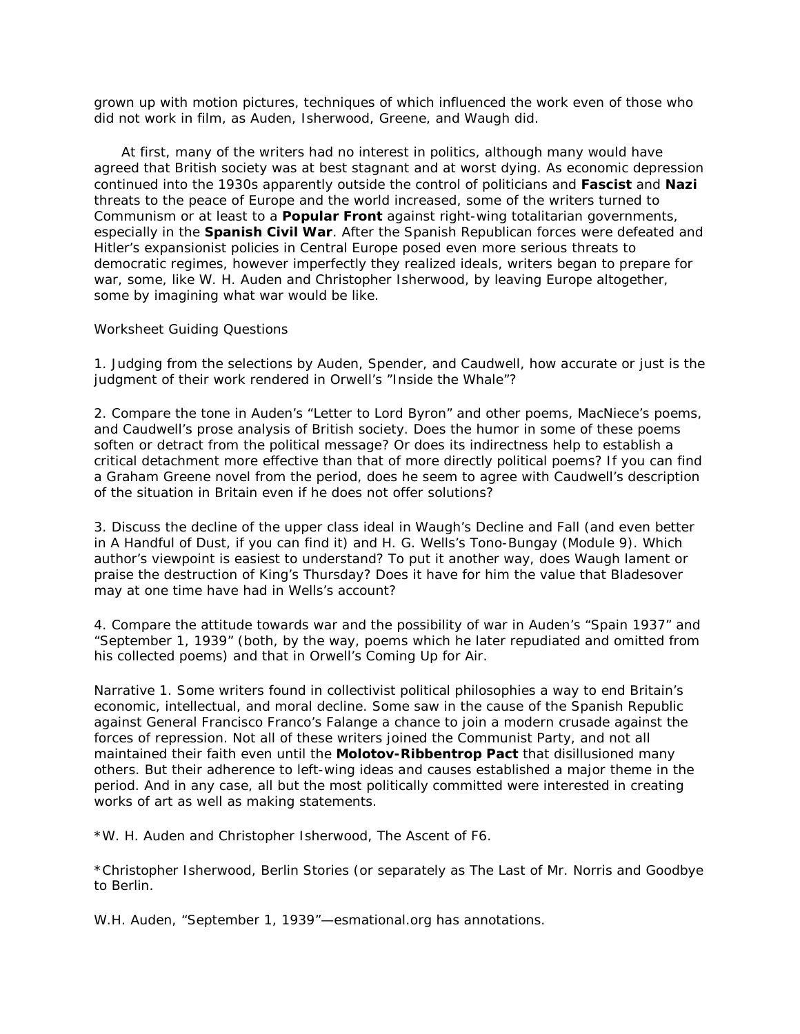grown up with motion pictures, techniques of which influenced the work even of those who did not work in film, as Auden, Isherwood, Greene, and Waugh did.

 At first, many of the writers had no interest in politics, although many would have agreed that British society was at best stagnant and at worst dying. As economic depression continued into the 1930s apparently outside the control of politicians and **Fascist** and **Nazi** threats to the peace of Europe and the world increased, some of the writers turned to Communism or at least to a **Popular Front** against right-wing totalitarian governments, especially in the **Spanish Civil War**. After the Spanish Republican forces were defeated and Hitler's expansionist policies in Central Europe posed even more serious threats to democratic regimes, however imperfectly they realized ideals, writers began to prepare for war, some, like W. H. Auden and Christopher Isherwood, by leaving Europe altogether, some by imagining what war would be like.

#### Worksheet Guiding Questions

1. Judging from the selections by Auden, Spender, and Caudwell, how accurate or just is the judgment of their work rendered in Orwell's "Inside the Whale"?

2. Compare the tone in Auden's "Letter to Lord Byron" and other poems, MacNiece's poems, and Caudwell's prose analysis of British society. Does the humor in some of these poems soften or detract from the political message? Or does its indirectness help to establish a critical detachment more effective than that of more directly political poems? If you can find a Graham Greene novel from the period, does he seem to agree with Caudwell's description of the situation in Britain even if he does not offer solutions?

3. Discuss the decline of the upper class ideal in Waugh's *Decline and Fall* (and even better in *A Handful of Dust*, if you can find it) and H. G. Wells's *Tono-Bungay* (Module 9). Which author's viewpoint is easiest to understand? To put it another way, does Waugh lament or praise the destruction of King's Thursday? Does it have for him the value that Bladesover may at one time have had in Wells's account?

4. Compare the attitude towards war and the possibility of war in Auden's "Spain 1937" and "September 1, 1939" (both, by the way, poems which he later repudiated and omitted from his collected poems) and that in Orwell's *Coming Up for Air*.

Narrative 1. Some writers found in collectivist political philosophies a way to end Britain's economic, intellectual, and moral decline. Some saw in the cause of the Spanish Republic against General Francisco Franco's Falange a chance to join a modern crusade against the forces of repression. Not all of these writers joined the Communist Party, and not all maintained their faith even until the **Molotov-Ribbentrop Pact** that disillusioned many others. But their adherence to left-wing ideas and causes established a major theme in the period. And in any case, all but the most politically committed were interested in creating works of art as well as making statements.

\*W. H. Auden and Christopher Isherwood, *The Ascent of F6.*

\*Christopher Isherwood, *Berlin Stories* (or separately as *The Last of Mr. Norris* and *Goodbye to Berlin*.

W.H. Auden, "September 1, 1939"—esmational.org has annotations.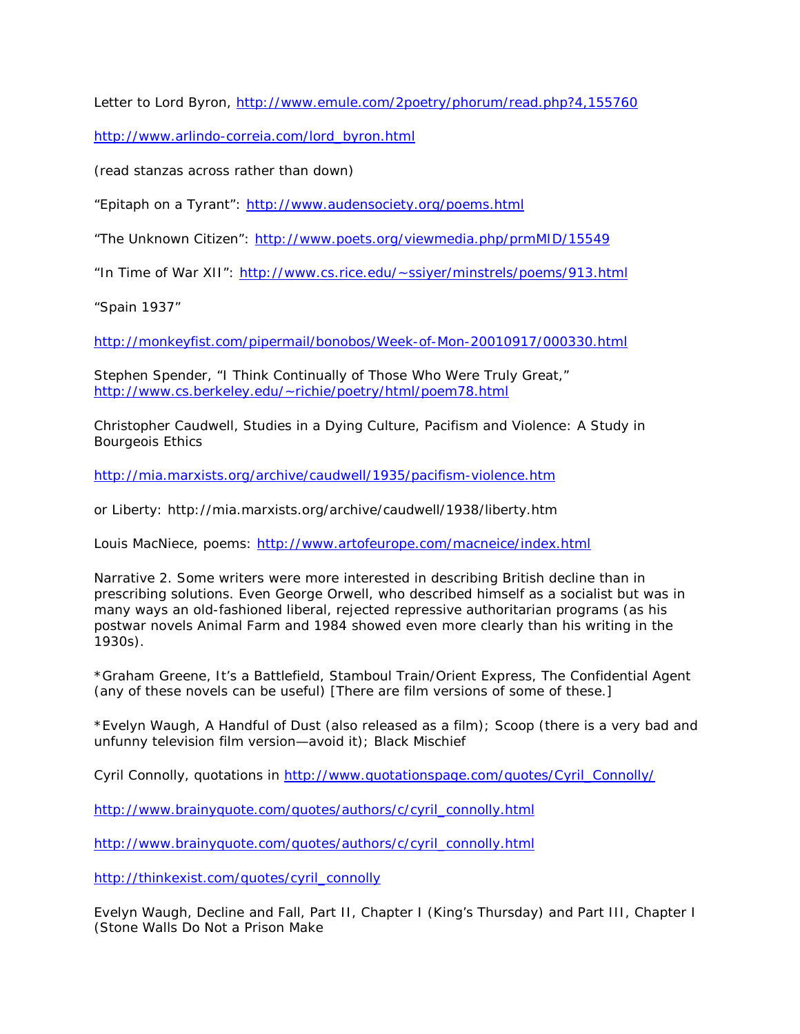Letter to Lord Byron,<http://www.emule.com/2poetry/phorum/read.php?4,155760>

[http://www.arlindo-correia.com/lord\\_byron.html](http://www.arlindo-correia.com/lord_byron.html)

(read stanzas across rather than down)

"Epitaph on a Tyrant":<http://www.audensociety.org/poems.html>

"The Unknown Citizen":<http://www.poets.org/viewmedia.php/prmMID/15549>

"In Time of War XII": [http://www.cs.rice.edu/~ssiyer/minstrels/poems/913.html](http://www.cs.rice.edu/%7Essiyer/minstrels/poems/913.html)

"Spain 1937"

<http://monkeyfist.com/pipermail/bonobos/Week-of-Mon-20010917/000330.html>

Stephen Spender, "I Think Continually of Those Who Were Truly Great," [http://www.cs.berkeley.edu/~richie/poetry/html/poem78.html](http://www.cs.berkeley.edu/%7Erichie/poetry/html/poem78.html)

Christopher Caudwell, *Studies in a Dying Culture*, Pacifism and Violence: A Study in Bourgeois Ethics

<http://mia.marxists.org/archive/caudwell/1935/pacifism-violence.htm>

or Liberty: http://mia.marxists.org/archive/caudwell/1938/liberty.htm

Louis MacNiece, poems:<http://www.artofeurope.com/macneice/index.html>

Narrative 2. Some writers were more interested in describing British decline than in prescribing solutions. Even George Orwell, who described himself as a socialist but was in many ways an old-fashioned liberal, rejected repressive authoritarian programs (as his postwar novels *Animal Farm* and *1984* showed even more clearly than his writing in the 1930s).

\*Graham Greene, *It's a Battlefield*, *Stamboul Train/Orient Express*, *The Confidential Agent* (any of these novels can be useful) [There are film versions of some of these.]

\*Evelyn Waugh, *A Handful of Dust* (also released as a film); *Scoop* (there is a very bad and unfunny television film version—avoid it); *Black Mischief*

Cyril Connolly, quotations in [http://www.quotationspage.com/quotes/Cyril\\_Connolly/](http://www.quotationspage.com/quotes/Cyril_Connolly/)

[http://www.brainyquote.com/quotes/authors/c/cyril\\_connolly.html](http://www.brainyquote.com/quotes/authors/c/cyril_connolly.html)

[http://www.brainyquote.com/quotes/authors/c/cyril\\_connolly.html](http://www.brainyquote.com/quotes/authors/c/cyril_connolly.html)

[http://thinkexist.com/quotes/cyril\\_connolly](http://thinkexist.com/quotes/cyril_connolly)

Evelyn Waugh, *Decline and Fall*, Part II, Chapter I (King's Thursday) and Part III, Chapter I (Stone Walls Do Not a Prison Make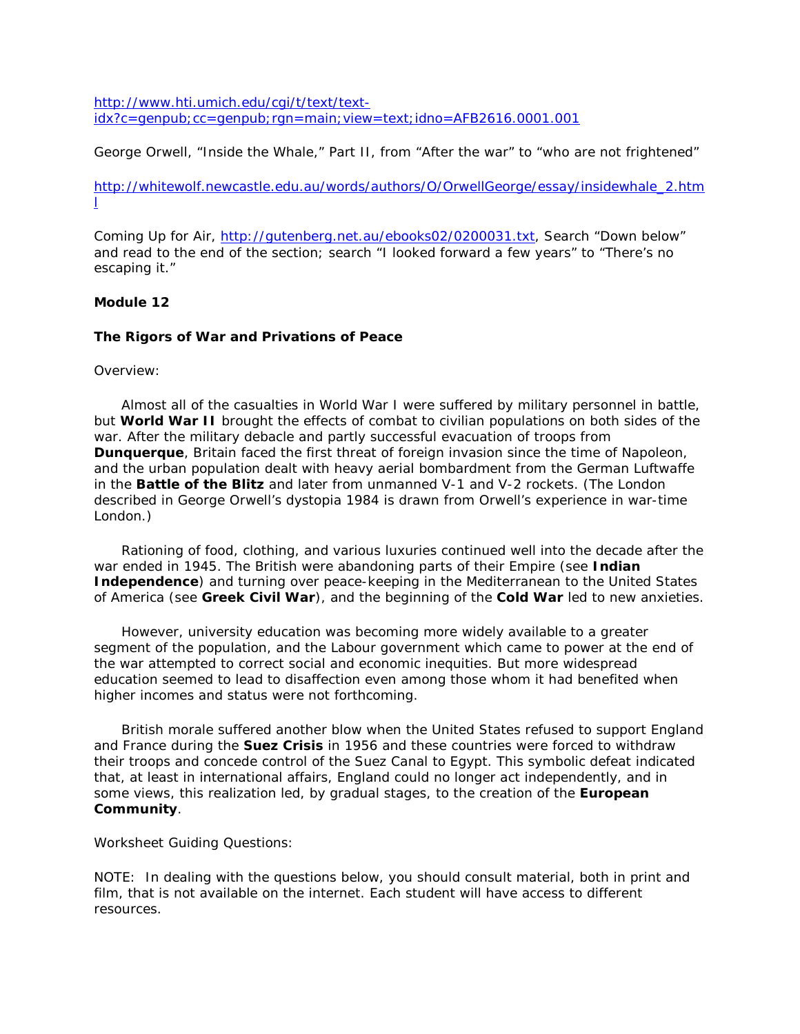[http://www.hti.umich.edu/cgi/t/text/text](http://www.hti.umich.edu/cgi/t/text/text-idx?c=genpub;cc=genpub;rgn=main;view=text;idno=AFB2616.0001.001) $idx?c = qenpub; cc = qenpub; ran = main;view = text; idno = AFB2616.0001.001$ 

George Orwell, "Inside the Whale," Part II, from "After the war" to "who are not frightened"

[http://whitewolf.newcastle.edu.au/words/authors/O/OrwellGeorge/essay/insidewhale\\_2.htm](http://whitewolf.newcastle.edu.au/words/authors/O/OrwellGeorge/essay/insidewhale_2.html) [l](http://whitewolf.newcastle.edu.au/words/authors/O/OrwellGeorge/essay/insidewhale_2.html)

*Coming Up for Air*, [http://gutenberg.net.au/ebooks02/0200031.txt,](http://gutenberg.net.au/ebooks02/0200031.txt) Search "Down below" and read to the end of the section; search "I looked forward a few years" to "There's no escaping it."

# **Module 12**

# **The Rigors of War and Privations of Peace**

## Overview:

 Almost all of the casualties in World War I were suffered by military personnel in battle, but **World War II** brought the effects of combat to civilian populations on both sides of the war. After the military debacle and partly successful evacuation of troops from **Dunquerque**, Britain faced the first threat of foreign invasion since the time of Napoleon, and the urban population dealt with heavy aerial bombardment from the German Luftwaffe in the **Battle of the Blitz** and later from unmanned V-1 and V-2 rockets. (The London described in George Orwell's dystopia *1984* is drawn from Orwell's experience in war-time London.)

 Rationing of food, clothing, and various luxuries continued well into the decade after the war ended in 1945. The British were abandoning parts of their Empire (see **Indian Independence**) and turning over peace-keeping in the Mediterranean to the United States of America (see **Greek Civil War**), and the beginning of the **Cold War** led to new anxieties.

 However, university education was becoming more widely available to a greater segment of the population, and the Labour government which came to power at the end of the war attempted to correct social and economic inequities. But more widespread education seemed to lead to disaffection even among those whom it had benefited when higher incomes and status were not forthcoming.

 British morale suffered another blow when the United States refused to support England and France during the **Suez Crisis** in 1956 and these countries were forced to withdraw their troops and concede control of the Suez Canal to Egypt. This symbolic defeat indicated that, at least in international affairs, England could no longer act independently, and in some views, this realization led, by gradual stages, to the creation of the **European Community**.

Worksheet Guiding Questions:

NOTE: In dealing with the questions below, you should consult material, both in print and film, that is not available on the internet. Each student will have access to different resources.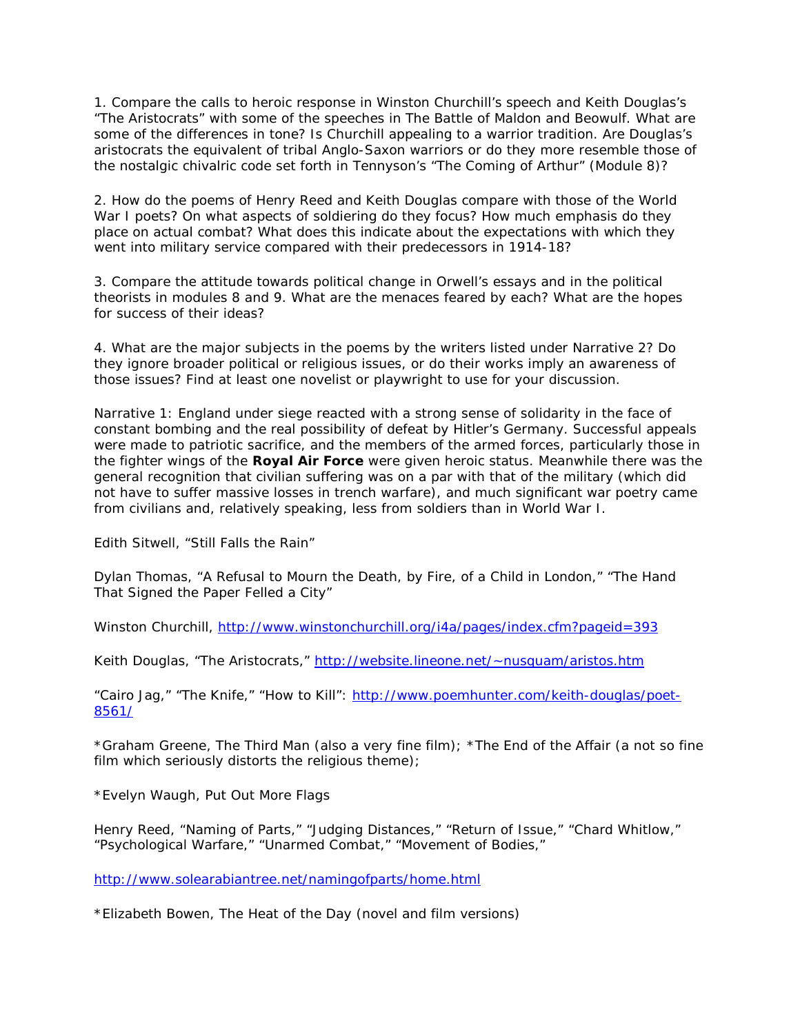1. Compare the calls to heroic response in Winston Churchill's speech and Keith Douglas's "The Aristocrats" with some of the speeches in *The Battle of Maldon* and *Beowulf*. What are some of the differences in tone? Is Churchill appealing to a warrior tradition. Are Douglas's aristocrats the equivalent of tribal Anglo-Saxon warriors or do they more resemble those of the nostalgic chivalric code set forth in Tennyson's "The Coming of Arthur" (Module 8)?

2. How do the poems of Henry Reed and Keith Douglas compare with those of the World War I poets? On what aspects of soldiering do they focus? How much emphasis do they place on actual combat? What does this indicate about the expectations with which they went into military service compared with their predecessors in 1914-18?

3. Compare the attitude towards political change in Orwell's essays and in the political theorists in modules 8 and 9. What are the menaces feared by each? What are the hopes for success of their ideas?

4. What are the major subjects in the poems by the writers listed under Narrative 2? Do they ignore broader political or religious issues, or do their works imply an awareness of those issues? Find at least one novelist or playwright to use for your discussion.

Narrative 1: England under siege reacted with a strong sense of solidarity in the face of constant bombing and the real possibility of defeat by Hitler's Germany. Successful appeals were made to patriotic sacrifice, and the members of the armed forces, particularly those in the fighter wings of the **Royal Air Force** were given heroic status. Meanwhile there was the general recognition that civilian suffering was on a par with that of the military (which did not have to suffer massive losses in trench warfare), and much significant war poetry came from civilians and, relatively speaking, less from soldiers than in World War I.

Edith Sitwell, "Still Falls the Rain"

Dylan Thomas, "A Refusal to Mourn the Death, by Fire, of a Child in London," "The Hand That Signed the Paper Felled a City"

Winston Churchill,<http://www.winstonchurchill.org/i4a/pages/index.cfm?pageid=393>

Keith Douglas, "The Aristocrats," [http://website.lineone.net/~nusquam/aristos.htm](http://website.lineone.net/%7Enusquam/aristos.htm)

"Cairo Jag," "The Knife," "How to Kill": [http://www.poemhunter.com/keith-douglas/poet-](http://www.poemhunter.com/keith-douglas/poet-8561/)[8561/](http://www.poemhunter.com/keith-douglas/poet-8561/)

\*Graham Greene, *The Third Man* (also a very fine film); \**The End of the Affair* (a not so fine film which seriously distorts the religious theme)*;*

\*Evelyn Waugh, *Put Out More Flags*

Henry Reed, "Naming of Parts," "Judging Distances," "Return of Issue," "Chard Whitlow," "Psychological Warfare," "Unarmed Combat," "Movement of Bodies,"

*<http://www.solearabiantree.net/namingofparts/home.html>*

\*Elizabeth Bowen, *The Heat of the Day* (novel and film versions)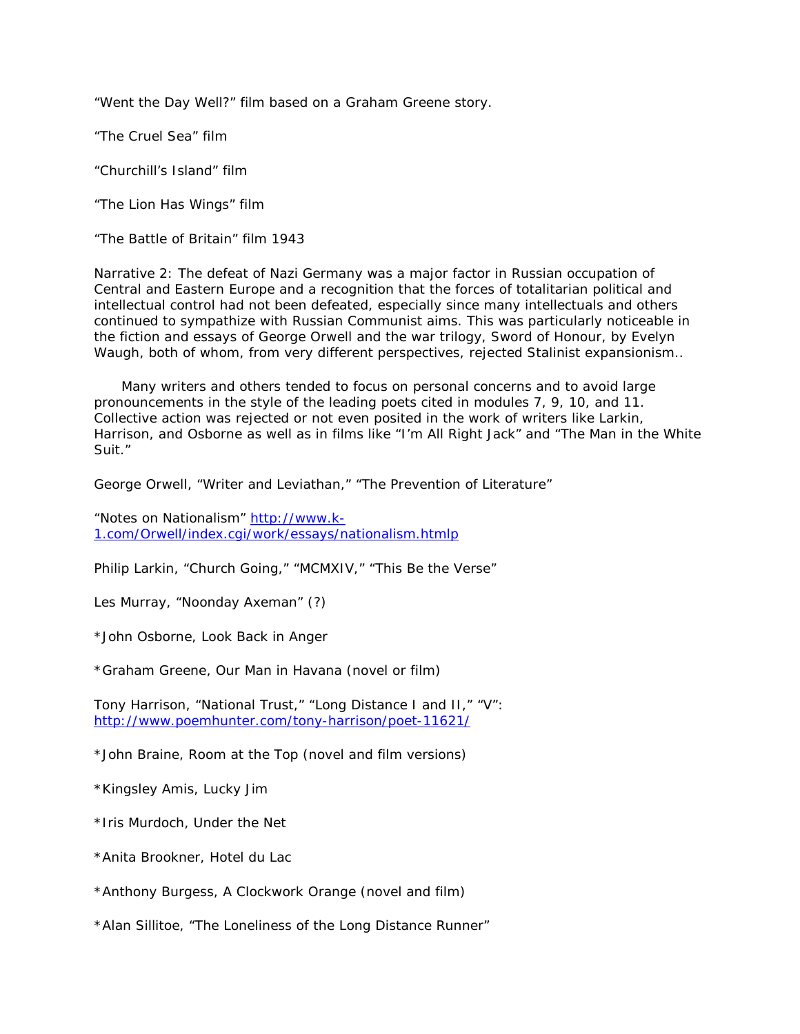"Went the Day Well?" film based on a Graham Greene story.

"The Cruel Sea" film

"Churchill's Island" film

"The Lion Has Wings" film

"The Battle of Britain" film 1943

Narrative 2: The defeat of Nazi Germany was a major factor in Russian occupation of Central and Eastern Europe and a recognition that the forces of totalitarian political and intellectual control had not been defeated, especially since many intellectuals and others continued to sympathize with Russian Communist aims. This was particularly noticeable in the fiction and essays of George Orwell and the war trilogy, *Sword of Honour*, by Evelyn Waugh, both of whom, from very different perspectives, rejected Stalinist expansionism..

 Many writers and others tended to focus on personal concerns and to avoid large pronouncements in the style of the leading poets cited in modules 7, 9, 10, and 11. Collective action was rejected or not even posited in the work of writers like Larkin, Harrison, and Osborne as well as in films like "I'm All Right Jack" and "The Man in the White Suit."

George Orwell, "Writer and Leviathan," "The Prevention of Literature"

"Notes on Nationalism" [http://www.k-](http://www.k-1.com/Orwell/index.cgi/work/essays/nationalism.htmlp)[1.com/Orwell/index.cgi/work/essays/nationalism.htmlp](http://www.k-1.com/Orwell/index.cgi/work/essays/nationalism.htmlp)

Philip Larkin, "Church Going," "MCMXIV," "This Be the Verse"

Les Murray, "Noonday Axeman" (?)

\*John Osborne, *Look Back in Anger*

\*Graham Greene, *Our Man in Havana* (novel or film)

Tony Harrison, "National Trust," "Long Distance I and II," "V": <http://www.poemhunter.com/tony-harrison/poet-11621/>

\*John Braine, *Room at the Top* (novel and film versions)

\*Kingsley Amis, *Lucky Jim*

\*Iris Murdoch, *Under the Net*

\*Anita Brookner, *Hotel du Lac*

\*Anthony Burgess, *A Clockwork Orange* (novel and film)

\*Alan Sillitoe, "The Loneliness of the Long Distance Runner"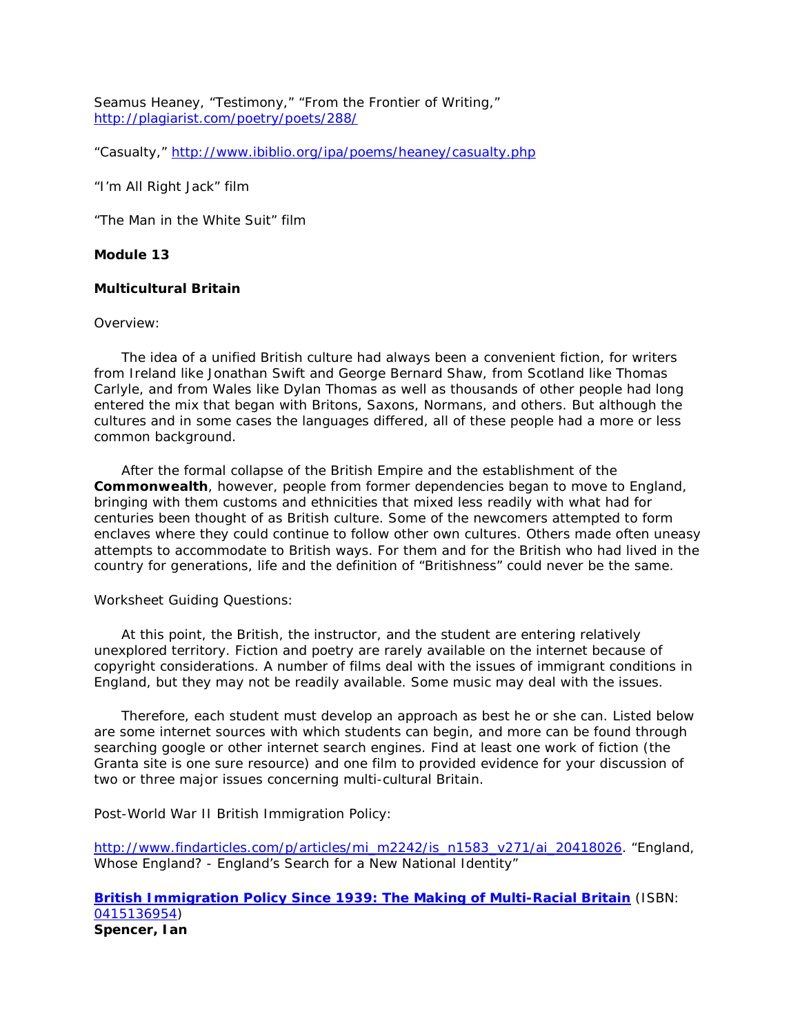Seamus Heaney, "Testimony," "From the Frontier of Writing," <http://plagiarist.com/poetry/poets/288/>

"Casualty,"<http://www.ibiblio.org/ipa/poems/heaney/casualty.php>

"I'm All Right Jack" film

"The Man in the White Suit" film

# **Module 13**

## **Multicultural Britain**

#### Overview:

 The idea of a unified British culture had always been a convenient fiction, for writers from Ireland like Jonathan Swift and George Bernard Shaw, from Scotland like Thomas Carlyle, and from Wales like Dylan Thomas as well as thousands of other people had long entered the mix that began with Britons, Saxons, Normans, and others. But although the cultures and in some cases the languages differed, all of these people had a more or less common background.

 After the formal collapse of the British Empire and the establishment of the **Commonwealth**, however, people from former dependencies began to move to England, bringing with them customs and ethnicities that mixed less readily with what had for centuries been thought of as British culture. Some of the newcomers attempted to form enclaves where they could continue to follow other own cultures. Others made often uneasy attempts to accommodate to British ways. For them and for the British who had lived in the country for generations, life and the definition of "Britishness" could never be the same.

#### Worksheet Guiding Questions:

 At this point, the British, the instructor, and the student are entering relatively unexplored territory. Fiction and poetry are rarely available on the internet because of copyright considerations. A number of films deal with the issues of immigrant conditions in England, but they may not be readily available. Some music may deal with the issues.

 Therefore, each student must develop an approach as best he or she can. Listed below are some internet sources with which students can begin, and more can be found through searching google or other internet search engines. Find at least one work of fiction (the *Granta* site is one sure resource) and one film to provided evidence for your discussion of two or three major issues concerning multi-cultural Britain.

Post-World War II British Immigration Policy:

[http://www.findarticles.com/p/articles/mi\\_m2242/is\\_n1583\\_v271/ai\\_20418026.](http://www.findarticles.com/p/articles/mi_m2242/is_n1583_v271/ai_20418026) "England, Whose England? - England's Search for a New National Identity"

**[British Immigration Policy Since 1939: The Making of Multi-Racial Britain](http://www.abebooks.com/servlet/BookDetailsPL?bi=770146853&searchurl=isbn%3D0415136954%26nsa%3D1)** (ISBN: [0415136954\)](http://www.abebooks.com/servlet/BookDetailsPL?bi=770146853&searchurl=isbn%3D0415136954%26nsa%3D1) **Spencer, Ian**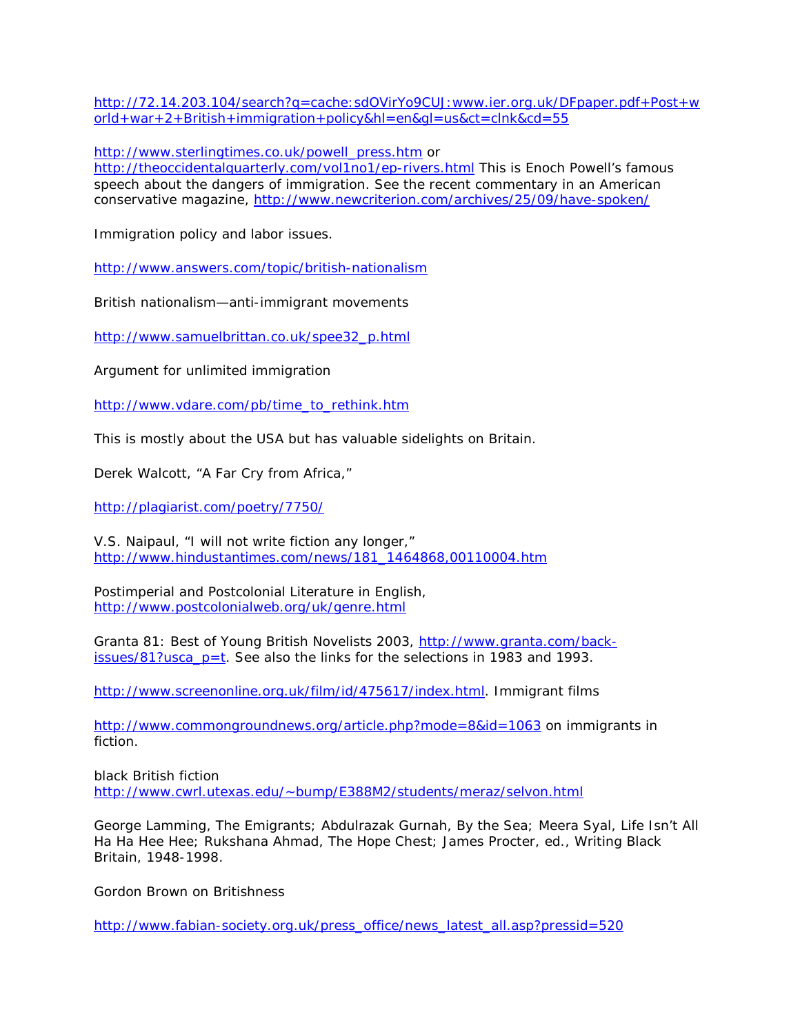[http://72.14.203.104/search?q=cache:sdOVirYo9CUJ:www.ier.org.uk/DFpaper.pdf+Post+w](http://72.14.203.104/search?q=cache:sdOVirYo9CUJ:www.ier.org.uk/DFpaper.pdf+Post+world+war+2+British+immigration+policy&hl=en&gl=us&ct=clnk&cd=55) [orld+war+2+British+immigration+policy&hl=en&gl=us&ct=clnk&cd=55](http://72.14.203.104/search?q=cache:sdOVirYo9CUJ:www.ier.org.uk/DFpaper.pdf+Post+world+war+2+British+immigration+policy&hl=en&gl=us&ct=clnk&cd=55)

[http://www.sterlingtimes.co.uk/powell\\_press.htm](http://www.sterlingtimes.co.uk/powell_press.htm) or

<http://theoccidentalquarterly.com/vol1no1/ep-rivers.html> This is Enoch Powell's famous speech about the dangers of immigration. See the recent commentary in an American conservative magazine,<http://www.newcriterion.com/archives/25/09/have-spoken/>

Immigration policy and labor issues.

<http://www.answers.com/topic/british-nationalism>

British nationalism—anti-immigrant movements

[http://www.samuelbrittan.co.uk/spee32\\_p.html](http://www.samuelbrittan.co.uk/spee32_p.html)

Argument for unlimited immigration

[http://www.vdare.com/pb/time\\_to\\_rethink.htm](http://www.vdare.com/pb/time_to_rethink.htm)

This is mostly about the USA but has valuable sidelights on Britain.

Derek Walcott, "A Far Cry from Africa,"

<http://plagiarist.com/poetry/7750/>

V.S. Naipaul, "I will not write fiction any longer," [http://www.hindustantimes.com/news/181\\_1464868,00110004.htm](http://www.hindustantimes.com/news/181_1464868,00110004.htm)

Postimperial and Postcolonial Literature in English, <http://www.postcolonialweb.org/uk/genre.html>

Granta 81: Best of Young British Novelists 2003, [http://www.granta.com/back](http://www.granta.com/back-issues/81?usca_p=t) $issues/81?usca_p=t$ . See also the links for the selections in 1983 and 1993.

[http://www.screenonline.org.uk/film/id/475617/index.html.](http://www.screenonline.org.uk/film/id/475617/index.html) Immigrant films

<http://www.commongroundnews.org/article.php?mode=8&id=1063> on immigrants in fiction.

black British fiction [http://www.cwrl.utexas.edu/~bump/E388M2/students/meraz/selvon.html](http://www.cwrl.utexas.edu/%7Ebump/E388M2/students/meraz/selvon.html)

George Lamming, The Emigrants; Abdulrazak Gurnah, By the Sea; Meera Syal, Life Isn't All Ha Ha Hee Hee; Rukshana Ahmad, The Hope Chest; James Procter, ed., Writing Black Britain, 1948-1998.

Gordon Brown on Britishness

[http://www.fabian-society.org.uk/press\\_office/news\\_latest\\_all.asp?pressid=520](http://www.fabian-society.org.uk/press_office/news_latest_all.asp?pressid=520)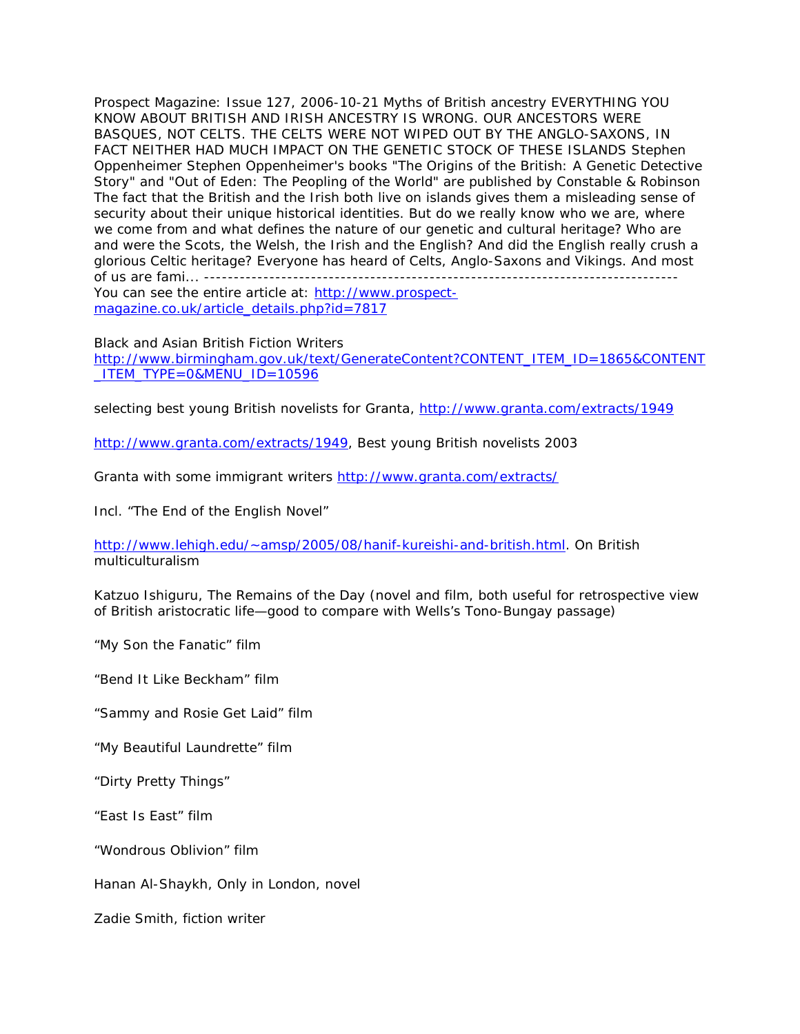Prospect Magazine: Issue 127, 2006-10-21 Myths of British ancestry EVERYTHING YOU KNOW ABOUT BRITISH AND IRISH ANCESTRY IS WRONG. OUR ANCESTORS WERE BASQUES, NOT CELTS. THE CELTS WERE NOT WIPED OUT BY THE ANGLO-SAXONS, IN FACT NEITHER HAD MUCH IMPACT ON THE GENETIC STOCK OF THESE ISLANDS Stephen Oppenheimer Stephen Oppenheimer's books "The Origins of the British: A Genetic Detective Story" and "Out of Eden: The Peopling of the World" are published by Constable & Robinson The fact that the British and the Irish both live on islands gives them a misleading sense of security about their unique historical identities. But do we really know who we are, where we come from and what defines the nature of our genetic and cultural heritage? Who are and were the Scots, the Welsh, the Irish and the English? And did the English really crush a glorious Celtic heritage? Everyone has heard of Celts, Anglo-Saxons and Vikings. And most of us are fami... ------------------------------------------------------------------------------- You can see the entire article at: [http://www.prospect](http://www.prospect-magazine.co.uk/article_details.php?id=7817)[magazine.co.uk/article\\_details.php?id=7817](http://www.prospect-magazine.co.uk/article_details.php?id=7817)

#### Black and Asian British Fiction Writers

[http://www.birmingham.gov.uk/text/GenerateContent?CONTENT\\_ITEM\\_ID=1865&CONTENT](http://www.birmingham.gov.uk/text/GenerateContent?CONTENT_ITEM_ID=1865&CONTENT_ITEM_TYPE=0&MENU_ID=10596)  $ITEM_TYPE=0$ &MENU $IDE=10596$ 

selecting best young British novelists for Granta,<http://www.granta.com/extracts/1949>

[http://www.granta.com/extracts/1949,](http://www.granta.com/extracts/1949) Best young British novelists 2003

Granta with some immigrant writers<http://www.granta.com/extracts/>

Incl. "The End of the English Novel"

[http://www.lehigh.edu/~amsp/2005/08/hanif-kureishi-and-british.html.](http://www.lehigh.edu/%7Eamsp/2005/08/hanif-kureishi-and-british.html) On British multiculturalism

Katzuo Ishiguru, *The Remains of the Day* (novel and film, both useful for retrospective view of British aristocratic life—good to compare with Wells's *Tono-Bungay* passage)

"My Son the Fanatic" film

"Bend It Like Beckham" film

- "Sammy and Rosie Get Laid" film
- "My Beautiful Laundrette" film
- "Dirty Pretty Things"

"East Is East" film

"Wondrous Oblivion" film

Hanan Al-Shaykh, *Only in London*, novel

Zadie Smith, fiction writer